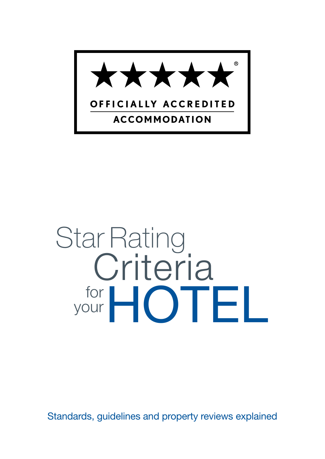

# Star Rating for your HOTEL Criteria

Standards, guidelines and property reviews explained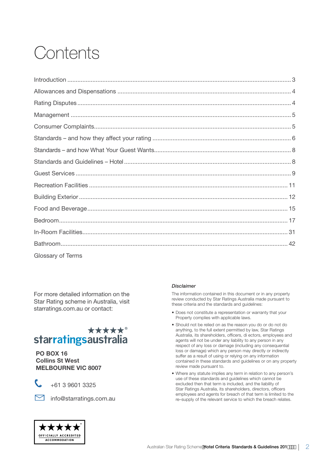## Contents

| Glossary of Terms |  |
|-------------------|--|

For more detailed information on the Star Rating scheme in Australia, visit starratings.com.au or contact:

### \*\*\*\*\*\* starratingsaustralia

PO BOX 16 Collins St West MELBOURNE VIC 8007



+61 3 9601 3325



minfo@starratings.com.au

#### *Disclaimer*

The information contained in this document or in any property review conducted by Star Ratings Australia made pursuant to these criteria and the standards and guidelines:

- Does not constitute a representation or warranty that your Property complies with applicable laws.
- Should not be relied on as the reason you do or do not do anything, to the full extent permitted by law, Star Ratings Australia, its shareholders, officers, di ectors, employees and agents will not be under any liability to any person in any respect of any loss or damage (including any consequential loss or damage) which any person may directly or indirectly suffer as a result of using or relying on any information contained in these standards and guidelines or on any property review made pursuant to.
- Where any statute implies any term in relation to any person's use of these standards and guidelines which cannot be excluded then that term is included, and the liability of Star Ratings Australia, its shareholders, directors, officers employees and agents for breach of that term is limited to the re–supply of the relevant service to which the breach relates.

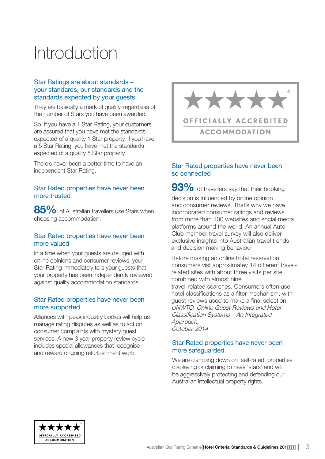## Introduction

#### Star Ratings are about standards – your standards, our standards and the standards expected by your guests.

They are basically a mark of quality, regardless of the number of Stars you have been awarded.

So, if you have a 1 Star Rating, your customers are assured that you have met the standards expected of a quality 1 Star property. If you have a 5 Star Rating, you have met the standards expected of a quality 5 Star property.

There's never been a better time to have an independent Star Rating.

#### Star Rated properties have never been more trusted

85% of Australian travellers use Stars when choosing accommodation.

#### Star Rated properties have never been more valued

In a time when your guests are deluged with online opinions and consumer reviews, your Star Rating immediately tells your guests that your property has been independently reviewed against quality accommodation standards.

#### Star Rated properties have never been more supported

Alliances with peak industry bodies will help us manage rating disputes as well as to act on consumer complaints with mystery guest services. A new 3 year property review cycle includes special allowances that recognise and reward ongoing refurbishment work.



#### Star Rated properties have never been so connected

93% of travellers say that their booking decision is influenced by online opinion and consumer reviews. That's why we have incorporated consumer ratings and reviews from more than 100 websites and social media platforms around the world. An annual Auto Club member travel survey will also deliver exclusive insights into Australian travel trends and decision making behaviour.

Before making an online hotel reservation, consumers vist approximatey 14 different travelrelated sites with about three visits per site combined with almost nine travel-related searches. Consumers often use hotel classifications as a filter mechanism, with guest reviews used to make a final selection. UNWTO, Online Guest Reviews and Hotel Classification Systems – An Integrated Approach, October 2014

#### Star Rated properties have never been more safeguarded

We are clamping down on 'self-rated' properties displaying or claiming to have 'stars' and will be aggressively protecting and defending our Australian intellectual property rights.

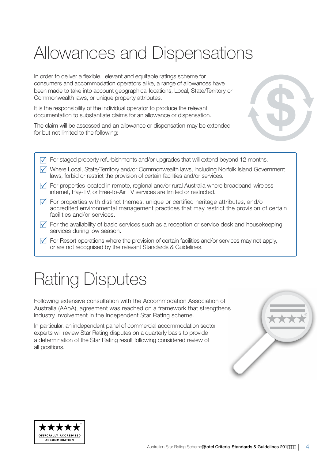## Allowances and Dispensations

In order to deliver a flexible, elevant and equitable ratings scheme for consumers and accommodation operators alike, a range of allowances have been made to take into account geographical locations, Local, State/Territory or Commonwealth laws, or unique property attributes.

It is the responsibility of the individual operator to produce the relevant documentation to substantiate claims for an allowance or dispensation.

The claim will be assessed and an allowance or dispensation may be extended for but not limited to the following:



- $\sqrt{ }$  For staged property refurbishments and/or upgrades that will extend beyond 12 months.
- $\sqrt{ }$  Where Local, State/Territory and/or Commonwealth laws, including Norfolk Island Government laws, forbid or restrict the provision of certain facilities and/or services.
- $\sqrt{\phantom{a}}$  For properties located in remote, regional and/or rural Australia where broadband-wireless internet, Pay-TV, or Free-to-Air TV services are limited or restricted.
- $\sqrt{ }$  For properties with distinct themes, unique or certified heritage attributes, and/o accredited environmental management practices that may restrict the provision of certain facilities and/or services.
- $\sqrt{\phantom{a}}$  For the availability of basic services such as a reception or service desk and housekeeping services during low season.
- $\sqrt{ }$  For Resort operations where the provision of certain facilities and/or services may not apply, or are not recognised by the relevant Standards & Guidelines.

## Rating Disputes

Following extensive consultation with the Accommodation Association of Australia (AAoA), agreement was reached on a framework that strengthens industry involvement in the independent Star Rating scheme.

In particular, an independent panel of commercial accommodation sector experts will review Star Rating disputes on a quarterly basis to provide a determination of the Star Rating result following considered review of all positions.



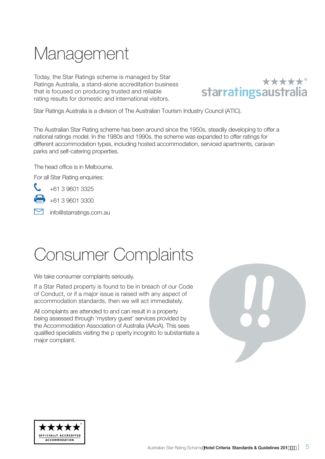## Management

Today, the Star Ratings scheme is managed by Star Ratings Australia, a stand-alone accreditation business that is focused on producing trusted and reliable rating results for domestic and international visitors.



Star Ratings Australia is a division of The Australian Tourism Industry Council (ATIC).

The Australian Star Rating scheme has been around since the 1950s, steadily developing to offer a national ratings model. In the 1980s and 1990s, the scheme was expanded to offer ratings for different accommodation types, including hosted accommodation, serviced apartments, caravan parks and self-catering properties.

The head office is in Melbourne.

For all Star Rating enquiries:



 $+61.39601.3300$ 

mfo@starratings.com.au

## Consumer Complaints

We take consumer complaints seriously.

If a Star Rated property is found to be in breach of our Code of Conduct, or if a major issue is raised with any aspect of accommodation standards, then we will act immediately.

All complaints are attended to and can result in a property being assessed through 'mystery guest' services provided by the Accommodation Association of Australia (AAoA). This sees qualified specialists visiting the p operty incognito to substantiate a major complaint.



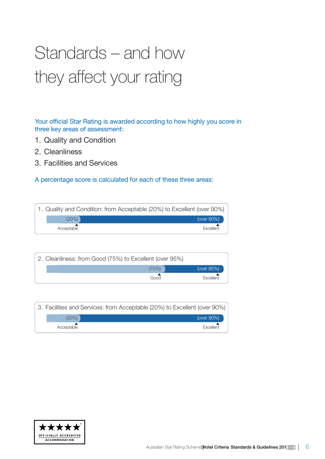## Standards – and how they affect your rating

Your official Star Rating is awarded according to how highly you score in three key areas of assessment:

- 1. Quality and Condition
- 2. Cleanliness
- 3. Facilities and Services

A percentage score is calculated for each of these three areas:

|            | 1. Quality and Condition: from Acceptable (20%) to Excellent (over 90%) |
|------------|-------------------------------------------------------------------------|
| $(20\%)$   | (over 90%)                                                              |
| Acceptable | Excellent                                                               |

| 2. Cleanliness: from Good (75%) to Excellent (over 95%) |            |
|---------------------------------------------------------|------------|
| (75%)                                                   | (over 95%) |
| Good                                                    | Excellent  |

|            | 3. Facilities and Services: from Acceptable (20%) to Excellent (over 90%) |  |
|------------|---------------------------------------------------------------------------|--|
| (20%)      | (over 90%)                                                                |  |
| Acceptable | Excellent                                                                 |  |

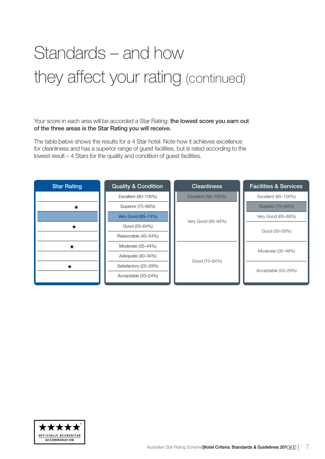## Standards – and how they affect your rating (continued)

Your score in each area will be accorded a Star Rating: the lowest score you earn out of the three areas is the Star Rating you will receive.

The table below shows the results for a 4 Star hotel. Note how it achieves excellence for cleanliness and has a superior range of guest facilities, but is rated according to the lowest result – 4 Stars for the quality and condition of guest facilities.



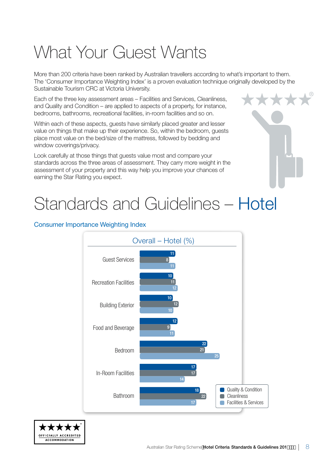## What Your Guest Wants

More than 200 criteria have been ranked by Australian travellers according to what's important to them. The 'Consumer Importance Weighting Index' is a proven evaluation technique originally developed by the Sustainable Tourism CRC at Victoria University.

Each of the three key assessment areas – Facilities and Services, Cleanliness, and Quality and Condition – are applied to aspects of a property, for instance, bedrooms, bathrooms, recreational facilities, in-room facilities and so on.

Within each of these aspects, guests have similarly placed greater and lesser value on things that make up their experience. So, within the bedroom, guests place most value on the bed/size of the mattress, followed by bedding and window coverings/privacy.

Look carefully at those things that guests value most and compare your standards across the three areas of assessment. They carry more weight in the assessment of your property and this way help you improve your chances of earning the Star Rating you expect.



## Standards and Guidelines – Hotel

## Consumer Importance Weighting Index



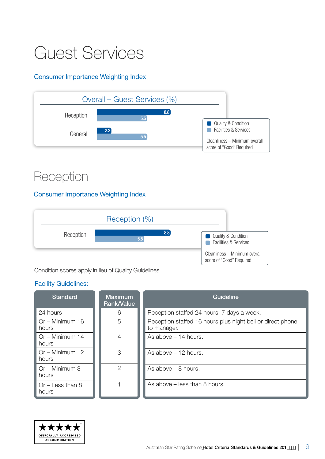## Guest Services

### Consumer Importance Weighting Index



### Reception

### Consumer Importance Weighting Index



Condition scores apply in lieu of Quality Guidelines.

| <b>Standard</b>             | <b>Maximum</b><br><b>Rank/Value</b> | <b>Guideline</b>                                                          |
|-----------------------------|-------------------------------------|---------------------------------------------------------------------------|
| 24 hours                    | 6                                   | Reception staffed 24 hours, 7 days a week.                                |
| Or - Minimum 16<br>hours    | 5                                   | Reception staffed 16 hours plus night bell or direct phone<br>to manager. |
| Or - Minimum 14<br>hours    | 4                                   | As above $-14$ hours.                                                     |
| Or - Minimum 12<br>hours    | 3                                   | As above $-12$ hours.                                                     |
| Or – Minimum 8<br>hours     | 2                                   | As above $-8$ hours.                                                      |
| $Or - Less than 8$<br>hours |                                     | As above – less than 8 hours.                                             |

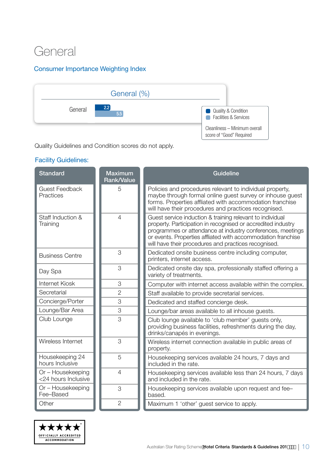### **General**

### Consumer Importance Weighting Index



Quality Guidelines and Condition scores do not apply.

| <b>Standard</b>                          | <b>Maximum</b><br><b>Rank/Value</b> | Guideline                                                                                                                                                                                                                                                                                                       |
|------------------------------------------|-------------------------------------|-----------------------------------------------------------------------------------------------------------------------------------------------------------------------------------------------------------------------------------------------------------------------------------------------------------------|
| <b>Guest Feedback</b><br>Practices       | 5                                   | Policies and procedures relevant to individual property,<br>maybe through formal online guest survey or inhouse guest<br>forms. Properties affliated with accommodation franchise<br>will have their procedures and practices recognised.                                                                       |
| Staff Induction &<br>Training            | $\overline{4}$                      | Guest service induction & training relevant to individual<br>property. Participation in recognised or accredited industry<br>programmes or attendance at industry conferences, meetings<br>or events. Properties affliated with accommodation franchise<br>will have their procedures and practices recognised. |
| <b>Business Centre</b>                   | 3                                   | Dedicated onsite business centre including computer,<br>printers, internet access.                                                                                                                                                                                                                              |
| Day Spa                                  | 3                                   | Dedicated onsite day spa, professionally staffed offering a<br>variety of treatments.                                                                                                                                                                                                                           |
| <b>Internet Kiosk</b>                    | 3                                   | Computer with internet access available within the complex.                                                                                                                                                                                                                                                     |
| Secretarial                              | $\overline{2}$                      | Staff available to provide secretarial services.                                                                                                                                                                                                                                                                |
| Concierge/Porter                         | 3                                   | Dedicated and staffed concierge desk.                                                                                                                                                                                                                                                                           |
| Lounge/Bar Area                          | 3                                   | Lounge/bar areas available to all inhouse guests.                                                                                                                                                                                                                                                               |
| Club Lounge                              | 3                                   | Club lounge available to 'club member' guests only,<br>providing business facilities, refreshments during the day,<br>drinks/canapés in evenings.                                                                                                                                                               |
| Wireless Internet                        | 3                                   | Wireless internet connection available in public areas of<br>property.                                                                                                                                                                                                                                          |
| Housekeeping 24<br>hours Inclusive       | 5                                   | Housekeeping services available 24 hours, 7 days and<br>included in the rate.                                                                                                                                                                                                                                   |
| Or - Housekeeping<br><24 hours Inclusive | $\overline{4}$                      | Housekeeping services available less than 24 hours, 7 days<br>and included in the rate.                                                                                                                                                                                                                         |
| Or - Housekeeping<br>Fee-Based           | 3                                   | Housekeeping services available upon request and fee-<br>based.                                                                                                                                                                                                                                                 |
| Other                                    | $\overline{2}$                      | Maximum 1 'other' guest service to apply.                                                                                                                                                                                                                                                                       |

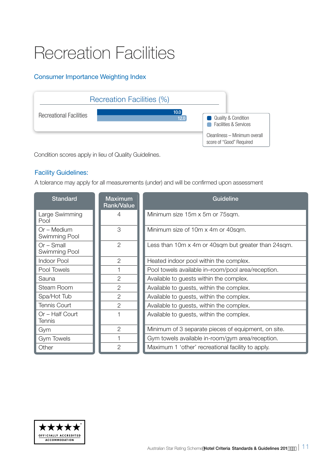## Recreation Facilities

### Consumer Importance Weighting Index



Condition scores apply in lieu of Quality Guidelines.

### Facility Guidelines:

A tolerance may apply for all measurements (under) and will be confirmed upon assessment

| <b>Standard</b>               | <b>Maximum</b><br>Rank/Value | <b>Guideline</b>                                    |
|-------------------------------|------------------------------|-----------------------------------------------------|
| Large Swimming<br>Pool        | 4                            | Minimum size 15m x 5m or 75sqm.                     |
| Or – Medium<br>Swimming Pool  | 3                            | Minimum size of 10m x 4m or 40sqm.                  |
| $Or$ – Small<br>Swimming Pool | $\overline{2}$               | Less than 10m x 4m or 40sqm but greater than 24sqm. |
| Indoor Pool                   | $\overline{2}$               | Heated indoor pool within the complex.              |
| Pool Towels                   |                              | Pool towels available in-room/pool area/reception.  |
| Sauna                         | $\overline{2}$               | Available to guests within the complex.             |
| Steam Room                    | $\overline{2}$               | Available to guests, within the complex.            |
| Spa/Hot Tub                   | $\overline{2}$               | Available to guests, within the complex.            |
| Tennis Court                  | $\overline{2}$               | Available to guests, within the complex.            |
| Or - Half Court<br>Tennis     |                              | Available to guests, within the complex.            |
| Gym                           | $\overline{2}$               | Minimum of 3 separate pieces of equipment, on site. |
| <b>Gym Towels</b>             |                              | Gym towels available in-room/gym area/reception.    |
| Other                         | $\overline{2}$               | Maximum 1 'other' recreational facility to apply.   |

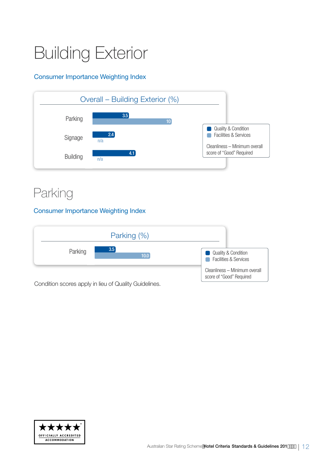## Building Exterior

### Consumer Importance Weighting Index



### Parking

### Consumer Importance Weighting Index



Condition scores apply in lieu of Quality Guidelines.

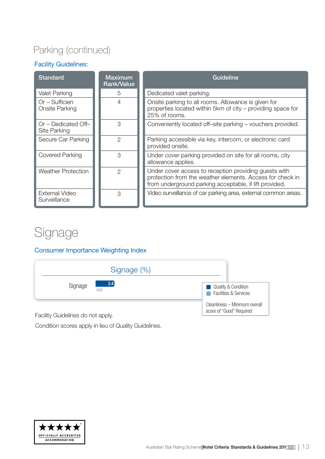### Parking (continued)

### Facility Guidelines:

| <b>Standard</b>                         | <b>Maximum</b><br><b>Rank/Value</b> | Guideline                                                                                                                                                                    |
|-----------------------------------------|-------------------------------------|------------------------------------------------------------------------------------------------------------------------------------------------------------------------------|
| <b>Valet Parking</b>                    | 5                                   | Dedicated valet parking.                                                                                                                                                     |
| Or – Sufficien<br><b>Onsite Parking</b> | 4                                   | Onsite parking to all rooms. Allowance is given for<br>properties located within 5km of city - providing space for<br>25% of rooms.                                          |
| $Or$ – Dedicated Off–<br>Site Parking   | З                                   | Conveniently located off-site parking - vouchers provided.                                                                                                                   |
| Secure Car Parking                      | 2                                   | Parking accessible via key, intercom, or electronic card<br>provided onsite.                                                                                                 |
| <b>Covered Parking</b>                  | 3                                   | Under cover parking provided on site for all rooms, city<br>allowance applies.                                                                                               |
| <b>Weather Protection</b>               | 2                                   | Under cover access to reception providing guests with<br>protection from the weather elements. Access for check in<br>from underground parking acceptable, if lift provided. |
| External Video<br>Surveillance          | З                                   | Video surveillance of car parking area, external common areas.                                                                                                               |

### Signage

### Consumer Importance Weighting Index

| Signage (%)           |                                                                 |
|-----------------------|-----------------------------------------------------------------|
| 2.4<br>Signage<br>n/a | Quality & Condition<br><b>Facilities &amp; Services</b><br>n an |
|                       | Cleanliness - Minimum overall<br>score of "Good" Required       |

Facility Guidelines do not apply.

Condition scores apply in lieu of Quality Guidelines.

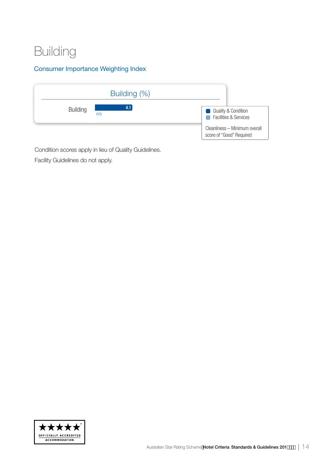### Building

### Consumer Importance Weighting Index



Condition scores apply in lieu of Quality Guidelines.

Facility Guidelines do not apply.

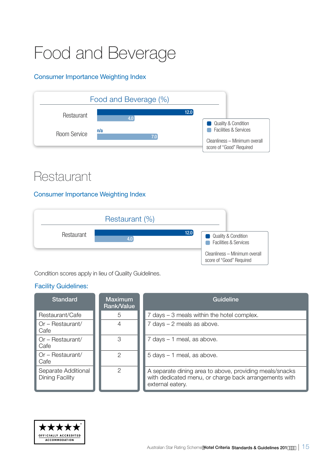## Food and Beverage

### Consumer Importance Weighting Index



### **Restaurant**

### Consumer Importance Weighting Index

|            | Restaurant (%) |      |                                                           |
|------------|----------------|------|-----------------------------------------------------------|
| Restaurant | 4.0            | 12.0 | Quality & Condition<br><b>Facilities &amp; Services</b>   |
|            |                |      | Cleanliness - Minimum overall<br>score of "Good" Required |

Condition scores apply in lieu of Quality Guidelines.

| <b>Standard</b>                        | <b>Maximum</b><br>Rank/Value | Guideline                                                                                                                            |
|----------------------------------------|------------------------------|--------------------------------------------------------------------------------------------------------------------------------------|
| Restaurant/Cafe                        | 5                            | 7 days – 3 meals within the hotel complex.                                                                                           |
| Or – Restaurant/<br>Cafe               |                              | $7$ days $-2$ meals as above.                                                                                                        |
| Or – Restaurant/<br>Cafe               | 3                            | $7$ days $-1$ meal, as above.                                                                                                        |
| Or - Restaurant/<br>Cafe               | 2                            | $5$ days $-1$ meal, as above.                                                                                                        |
| Separate Additional<br>Dining Facility | 2                            | A separate dining area to above, providing meals/snacks<br>with dedicated menu, or charge back arrangements with<br>external eatery. |

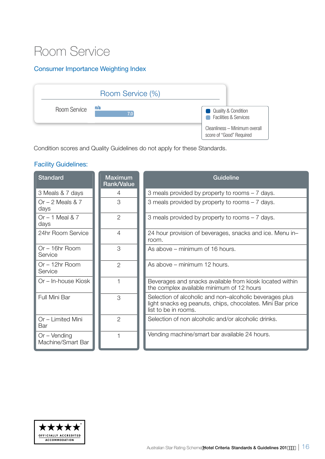### Room Service

### Consumer Importance Weighting Index



Condition scores and Quality Guidelines do not apply for these Standards.

| <b>Standard</b>                     | <b>Maximum</b><br>Rank/Value | Guideline                                                                                                                                     |
|-------------------------------------|------------------------------|-----------------------------------------------------------------------------------------------------------------------------------------------|
| 3 Meals & 7 days                    | 4                            | 3 meals provided by property to rooms - 7 days.                                                                                               |
| Or $-2$ Meals & $7$<br>days         | 3                            | 3 meals provided by property to rooms - 7 days.                                                                                               |
| Or $-1$ Meal & 7<br>days            | $\overline{2}$               | 3 meals provided by property to rooms - 7 days.                                                                                               |
| 24hr Room Service                   | 4                            | 24 hour provision of beverages, snacks and ice. Menu in-<br>room.                                                                             |
| $Or - 16hr$ Room<br>Service         | 3                            | As above – minimum of 16 hours.                                                                                                               |
| Or - 12hr Room<br>Service           | $\overline{2}$               | As above - minimum 12 hours.                                                                                                                  |
| Or – In-house Kiosk                 |                              | Beverages and snacks available from kiosk located within<br>the complex available minimum of 12 hours                                         |
| Full Mini Bar                       | 3                            | Selection of alcoholic and non-alcoholic beverages plus<br>light snacks eg peanuts, chips, chocolates. Mini Bar price<br>list to be in rooms. |
| Or - Limited Mini<br>Bar            | $\mathcal{P}$                | Selection of non alcoholic and/or alcoholic drinks.                                                                                           |
| $Or - Vending$<br>Machine/Smart Bar |                              | Vending machine/smart bar available 24 hours.                                                                                                 |

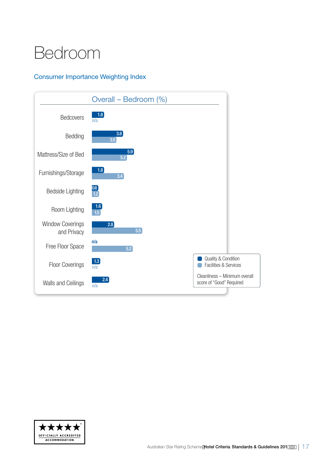## Bedroom

### Consumer Importance Weighting Index



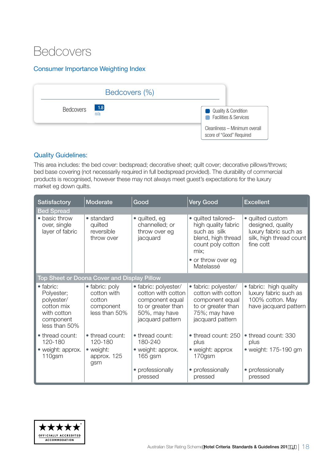### **Bedcovers**

### Consumer Importance Weighting Index

| Bedcovers (%)                            |                                                              |
|------------------------------------------|--------------------------------------------------------------|
| $\boxed{1.8}$<br><b>Bedcovers</b><br>n/a | Quality & Condition<br><b>Facilities &amp; Services</b><br>œ |
|                                          | Cleanliness - Minimum overall<br>score of "Good" Required    |

#### Quality Guidelines:

This area includes: the bed cover: bedspread; decorative sheet; quilt cover; decorative pillows/throws; bed base covering (not necessarily required in full bedspread provided). The durability of commercial products is recognised, however these may not always meet guest's expectations for the luxury market eg down quilts.

| Satisfactory                                                                                             | Moderate                                                              | Good                                                                                                                     | <b>Very Good</b>                                                                                                                                 | <b>Excellent</b>                                                                                       |  |  |
|----------------------------------------------------------------------------------------------------------|-----------------------------------------------------------------------|--------------------------------------------------------------------------------------------------------------------------|--------------------------------------------------------------------------------------------------------------------------------------------------|--------------------------------------------------------------------------------------------------------|--|--|
| <b>Bed Spread</b>                                                                                        |                                                                       |                                                                                                                          |                                                                                                                                                  |                                                                                                        |  |  |
| • basic throw<br>over, single<br>layer of fabric                                                         | • standard<br>quilted<br>reversible<br>throw over                     | • quilted, eg<br>channelled; or<br>throw over eg<br>jacquard                                                             | • quilted tailored-<br>high quality fabric<br>such as silk<br>blend, high thread<br>count poly cotton<br>mix:<br>• or throw over eg<br>Matelassé | · quilted custom<br>designed, quality<br>luxury fabric such as<br>silk, high thread count<br>fine cott |  |  |
|                                                                                                          | Top Sheet or Doona Cover and Display Pillow                           |                                                                                                                          |                                                                                                                                                  |                                                                                                        |  |  |
| $\bullet$ fabric:<br>Polyester;<br>polyester/<br>cotton mix<br>with cotton<br>component<br>less than 50% | • fabric: poly<br>cotton with<br>cotton<br>component<br>less than 50% | • fabric: polyester/<br>cotton with cotton<br>component equal<br>to or greater than<br>50%, may have<br>jacquard pattern | · fabric: polyester/<br>cotton with cotton<br>component equal<br>to or greater than<br>75%; may have<br>jacquard pattern                         | • fabric: high quality<br>luxury fabric such as<br>100% cotton. May<br>have jacquard pattern           |  |  |
| • thread count:<br>120-180<br>• weight: approx.<br>110gsm                                                | • thread count:<br>120-180<br>• weight:<br>approx. 125<br>gsm         | • thread count:<br>180-240<br>• weight: approx.<br>165 gsm                                                               | • thread count: 250<br>plus<br>• weight: approx<br>170gsm                                                                                        | • thread count: 330<br>plus<br>• weight: 175-190 gm                                                    |  |  |
|                                                                                                          |                                                                       | • professionally<br>pressed                                                                                              | • professionally<br>pressed                                                                                                                      | • professionally<br>pressed                                                                            |  |  |

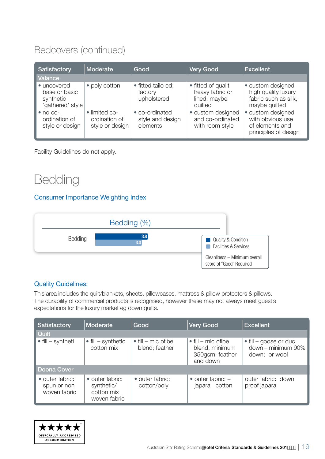### Bedcovers (continued)

| Satisfactory                                                  | Moderate                                          | Good                                           | <b>Very Good</b>                                                 | <b>Excellent</b>                                                                              |
|---------------------------------------------------------------|---------------------------------------------------|------------------------------------------------|------------------------------------------------------------------|-----------------------------------------------------------------------------------------------|
| Valance                                                       |                                                   |                                                |                                                                  |                                                                                               |
| • uncovered<br>base or basic<br>synthetic<br>'gathered' style | • poly cotton                                     | • fitted tailo ed;<br>factory<br>upholstered   | • fitted of qualit<br>heavy fabric or<br>lined, maybe<br>quilted | $\bullet$ custom designed $-$<br>high quality luxury<br>fabric such as silk,<br>maybe quilted |
| $\bullet$ no co-<br>ordination of<br>style or design          | • limited co-<br>ordination of<br>style or design | • co-ordinated<br>style and design<br>elements | • custom designed<br>and co-ordinated<br>with room style         | • custom designed<br>with obvious use<br>of elements and<br>principles of design              |

Facility Guidelines do not apply.

### Bedding

### Consumer Importance Weighting Index



#### Quality Guidelines:

This area includes the quilt/blankets, sheets, pillowcases, mattress & pillow protectors & pillows. The durability of commercial products is recognised, however these may not always meet guest's expectations for the luxury market eg down quilts.

| <b>Satisfactory</b>                            | Moderate                                                    | Good                                         | <b>Very Good</b>                                                            | <b>Excellent</b>                                                     |
|------------------------------------------------|-------------------------------------------------------------|----------------------------------------------|-----------------------------------------------------------------------------|----------------------------------------------------------------------|
| Quilt                                          |                                                             |                                              |                                                                             |                                                                      |
| $\bullet$ fill – syntheti                      | $\bullet$ fill – synthetic<br>cotton mix                    | $\bullet$ fill – mic ofibe<br>blend; feather | $\bullet$ fill – mic ofibe<br>blend, minimum<br>350gsm; feather<br>and down | $\bullet$ fill – goose or duc<br>down - minimum 90%<br>down; or wool |
| <b>Doona Cover</b>                             |                                                             |                                              |                                                                             |                                                                      |
| • outer fabric:<br>spun or non<br>woven fabric | • outer fabric:<br>synthetic/<br>cotton mix<br>woven fabric | • outer fabric:<br>cotton/poly               | $\bullet$ outer fabric: $-$<br>japara cotton                                | outer fabric: down<br>proof japara                                   |

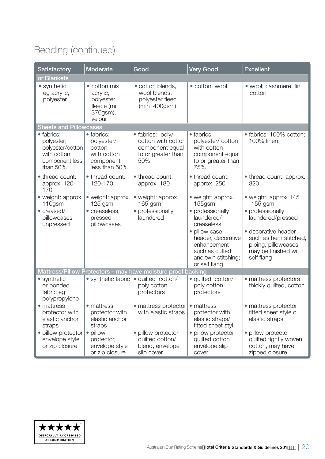### Bedding (continued)

| <b>Satisfactory</b>                                                                       | <b>Moderate</b>                                                                 | Good                                                                                   | <b>Very Good</b>                                                                                                                                                                                        | <b>Excellent</b>                                                                                                                                                                        |
|-------------------------------------------------------------------------------------------|---------------------------------------------------------------------------------|----------------------------------------------------------------------------------------|---------------------------------------------------------------------------------------------------------------------------------------------------------------------------------------------------------|-----------------------------------------------------------------------------------------------------------------------------------------------------------------------------------------|
| or Blankets                                                                               |                                                                                 |                                                                                        |                                                                                                                                                                                                         |                                                                                                                                                                                         |
| • synthetic<br>eg acrylic,<br>polyester                                                   | • cotton mix<br>acrylic,<br>polyester<br>fleece (mi<br>370gsm),<br>velour       | · cotton blends,<br>wool blends,<br>polyester fleec<br>$(min 400$ gsm $)$              | · cotton, wool                                                                                                                                                                                          | • wool; cashmere; fin<br>cotton                                                                                                                                                         |
| <b>Sheets and Pillowcases</b>                                                             |                                                                                 |                                                                                        |                                                                                                                                                                                                         |                                                                                                                                                                                         |
| · fabrics:<br>polyester;<br>polyester/cotton<br>with cotton<br>component less<br>than 50% | · fabrics:<br>polyester/<br>cotton<br>with cotton<br>component<br>less than 50% | · fabrics: poly/<br>cotton with cotton<br>component equal<br>to or greater than<br>50% | • fabrics:<br>polyester/cotton<br>with cotton<br>component equal<br>to or greater than<br>75%                                                                                                           | · fabrics: 100% cotton;<br>100% linen                                                                                                                                                   |
| • thread count:<br>approx. 120-<br>170                                                    | • thread count:<br>120-170                                                      | • thread count:<br>approx. 180                                                         | • thread count:<br>approx. 250                                                                                                                                                                          | • thread count: approx.<br>320                                                                                                                                                          |
| · weight: approx.<br>110gsm<br>• creased/<br>pillowcases<br>unpressed                     | · weight: approx.<br>125 gsm<br>· creaseless.<br>pressed<br>pillowcases         | • weight: approx.<br>165 gsm<br>• professionally<br>laundered                          | • weight: approx.<br>155gsm<br>· professionally<br>laundered/<br>creaseless<br>$\bullet$ pillow case $-$<br>header, decorative<br>enhancement<br>such as cuffed<br>and twin stitching;<br>or self flang | • weight: approx 145<br>$-155$ gsm<br>• professionally<br>laundered/pressed<br>· decorative header<br>such as hem stitched,<br>piping, pillowcases<br>may be finished wit<br>self flang |
|                                                                                           |                                                                                 | Mattress/Pillow Protectors - may have moisture proof backing                           |                                                                                                                                                                                                         |                                                                                                                                                                                         |
| • synthetic<br>or bonded<br>fabric eg<br>polypropylene                                    | • synthetic fabric                                                              | • quilted cotton/<br>poly cotton<br>protectors                                         | · quilted cotton/<br>poly cotton<br>protectors                                                                                                                                                          | • mattress protectors<br>thickly quilted, cotton                                                                                                                                        |
| • mattress<br>protector with<br>elastic anchor<br>straps                                  | • mattress<br>protector with<br>elastic anchor<br>straps                        | • mattress protector   • mattress<br>with elastic straps                               | protector with<br>elastic straps/<br>fitted sheet styl                                                                                                                                                  | · mattress protector<br>fitted sheet style o<br>elastic straps                                                                                                                          |
| • pillow protector<br>envelope style<br>or zip closure                                    | pillow<br>$\bullet$<br>protector,<br>envelope style<br>or zip closure           | · pillow protector<br>quilted cotton/<br>blend, envelope<br>slip cover                 | · pillow protector<br>quilted cotton<br>envelope slip<br>cover                                                                                                                                          | · pillow protector<br>quilted tightly woven<br>cotton, may have<br>zipped closure                                                                                                       |

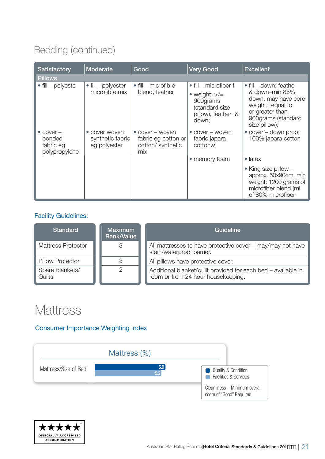### Bedding (continued)

| <b>Satisfactory</b>                                         | Moderate                                                     | Good                                                                      | <b>Very Good</b>                                                                                          | <b>Excellent</b>                                                                                                                                     |
|-------------------------------------------------------------|--------------------------------------------------------------|---------------------------------------------------------------------------|-----------------------------------------------------------------------------------------------------------|------------------------------------------------------------------------------------------------------------------------------------------------------|
| <b>Pillows</b>                                              |                                                              |                                                                           |                                                                                                           |                                                                                                                                                      |
| $\bullet$ fill – polyeste                                   | $\bullet$ fill – polyester<br>microfib e mix                 | $\bullet$ fill – mic ofib e<br>blend, feather                             | • fill – mic ofiber fi<br>• weight: $\gt$ /=<br>900grams<br>(standard size<br>pillow), feather &<br>down: | $\bullet$ fill – down; feathe<br>& down-min 85%<br>down, may have core<br>weight: equal to<br>or greater than<br>900grams (standard<br>size pillow); |
| $\bullet$ cover $-$<br>bonded<br>fabric eg<br>polypropylene | cover woven<br>$\bullet$<br>synthetic fabric<br>eg polyester | $\bullet$ cover – woven<br>fabric eg cotton or<br>cotton/synthetic<br>mix | $\bullet$ cover $-$ woven<br>fabric japara<br>cottonw                                                     | $\bullet$ cover – down proof<br>100% japara cotton                                                                                                   |
|                                                             |                                                              |                                                                           | • memory foam                                                                                             | $\bullet$ latex                                                                                                                                      |
|                                                             |                                                              |                                                                           |                                                                                                           | $\bullet$ King size pillow -<br>approx. 50x90cm, min<br>weight: 1200 grams of<br>microfiber blend (mi<br>of 80% microfiber                           |

### Facility Guidelines:

| Standard                  | <b>Maximum</b><br>Rank/Value | Guideline                                                                                           |  |
|---------------------------|------------------------------|-----------------------------------------------------------------------------------------------------|--|
| <b>Mattress Protector</b> | 3                            | All mattresses to have protective cover - may/may not have<br>stain/waterproof barrier.             |  |
| <b>Pillow Protector</b>   |                              | All pillows have protective cover.                                                                  |  |
| Spare Blankets/<br>Quilts |                              | Additional blanket/quilt provided for each bed - available in<br>room or from 24 hour housekeeping. |  |

### **Mattress**

### Consumer Importance Weighting Index



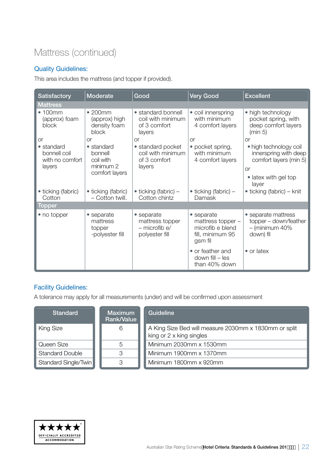### Mattress (continued)

### Quality Guidelines:

This area includes the mattress (and topper if provided).

| <b>Satisfactory</b>                                     | Moderate                                                          | Good                                                                 | <b>Very Good</b>                                                                   | <b>Excellent</b>                                                                                                        |
|---------------------------------------------------------|-------------------------------------------------------------------|----------------------------------------------------------------------|------------------------------------------------------------------------------------|-------------------------------------------------------------------------------------------------------------------------|
| <b>Mattress</b>                                         |                                                                   |                                                                      |                                                                                    |                                                                                                                         |
| $\bullet$ 100mm<br>(approx) foam<br>block               | •200mm<br>(approx) high<br>density foam<br>block                  | • standard bonnell<br>coil with minimum<br>of 3 comfort<br>layers    | • coil innerspring<br>with minimum<br>4 comfort layers                             | • high technology<br>pocket spring, with<br>deep comfort layers<br>(min 5)                                              |
| <b>or</b>                                               | <b>or</b>                                                         | <b>or</b>                                                            | <b>or</b>                                                                          | <b>or</b>                                                                                                               |
| • standard<br>bonnell coil<br>with no comfort<br>layers | • standard<br>bonnell<br>coil with<br>minimum 2<br>comfort layers | • standard pocket<br>coil with minimum<br>of 3 comfort<br>layers     | • pocket spring,<br>with minimum<br>4 comfort layers                               | • high technology coil<br>innerspring with deep<br>comfort layers (min 5)<br><b>or</b><br>· latex with gel top<br>layer |
| • ticking (fabric)<br>Cotton                            | • ticking (fabric)<br>- Cotton twill.                             | $\bullet$ ticking (fabric) –<br>Cotton chintz                        | $\bullet$ ticking (fabric) –<br>Damask                                             | $\bullet$ ticking (fabric) – knit                                                                                       |
| <b>Topper</b>                                           |                                                                   |                                                                      |                                                                                    |                                                                                                                         |
| • no topper                                             | • separate<br>mattress<br>topper<br>-polyester fill               | • separate<br>mattress topper<br>$-$ microfib $e/$<br>polyester fill | • separate<br>mattress topper -<br>microfib e blend<br>fill, minimum 95<br>gsm fil | • separate mattress<br>topper - down/feather<br>$-$ (minimum 40%<br>down) fil                                           |
|                                                         |                                                                   |                                                                      | • or feather and<br>down fill - les<br>than 40% down                               | • or latex                                                                                                              |

### Facility Guidelines:

A tolerance may apply for all measurements (under) and will be confirmed upon assessment

| <b>Standard</b>        | Maximum<br><b>Rank/Value</b> | Guideline                                                                         |
|------------------------|------------------------------|-----------------------------------------------------------------------------------|
| King Size              | 6                            | A King Size Bed will measure 2030mm x 1830mm or split<br>king or 2 x king singles |
| Queen Size             | 5                            | Minimum 2030mm x 1530mm                                                           |
| <b>Standard Double</b> | 3                            | Minimum 1900mm x 1370mm                                                           |
| Standard Single/Twin   | 3                            | Minimum 1800mm x 920mm                                                            |

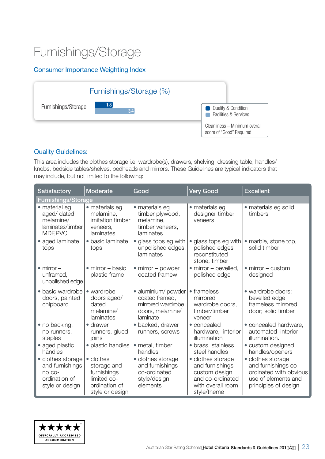### Furnishings/Storage

### Consumer Importance Weighting Index



#### Quality Guidelines:

This area includes the clothes storage i.e. wardrobe(s), drawers, shelving, dressing table, handles/ knobs, bedside tables/shelves, bedheads and mirrors. These Guidelines are typical indicators that may include, but not limited to the following:

| <b>Satisfactory</b>                                                                | Moderate                                                                                   | Good                                                                                       | <b>Very Good</b>                                                                                              | <b>Excellent</b>                                                                                                  |
|------------------------------------------------------------------------------------|--------------------------------------------------------------------------------------------|--------------------------------------------------------------------------------------------|---------------------------------------------------------------------------------------------------------------|-------------------------------------------------------------------------------------------------------------------|
| <b>Furnishings/Storage</b>                                                         |                                                                                            |                                                                                            |                                                                                                               |                                                                                                                   |
| • material eg<br>aged/dated<br>melamine/<br>laminates/timber<br>MDF, PVC           | • materials eg<br>melamine,<br>imitation timber<br>veneers.<br>laminates                   | · materials eg<br>timber plywood,<br>melamine,<br>timber veneers,<br>laminates             | • materials eg<br>designer timber<br>veneers                                                                  | • materials eg solid<br>timbers                                                                                   |
| • aged laminate<br>tops                                                            | • basic laminate<br>tops                                                                   | • glass tops eg with<br>unpolished edges,<br>laminates                                     | · glass tops eg with<br>polished edges<br>reconstituted<br>stone, timber                                      | • marble, stone top,<br>solid timber                                                                              |
| $\bullet$ mirror $-$<br>unframed,<br>unpolished edge                               | $\bullet$ mirror – basic<br>plastic frame                                                  | $\bullet$ mirror – powder<br>coated framew                                                 | $\bullet$ mirror – bevelled,<br>polished edge                                                                 | $\bullet$ mirror – custom<br>designed                                                                             |
| • basic wardrobe<br>doors, painted<br>chipboard                                    | • wardrobe<br>doors aged/<br>dated<br>melamine/<br>laminates                               | · aluminium/ powder<br>coated framed,<br>mirrored wardrobe<br>doors, melamine/<br>laminate | • frameless<br>mirrored<br>wardrobe doors,<br>timber/timber<br>veneer                                         | • wardrobe doors:<br>bevelled edge<br>frameless mirrored<br>door; solid timber                                    |
| • no backing,<br>no runners,<br>staples                                            | • drawer<br>runners, glued<br>joins                                                        | • backed, drawer<br>runners, screws                                                        | • concealed<br>hardware, interior<br>illumination                                                             | • concealed hardware,<br>automated interior<br>illumination.                                                      |
| • aged plastic<br>handles                                                          | • plastic handles                                                                          | · metal, timber<br>handles                                                                 | · brass, stainless<br>steel handles                                                                           | • custom designed<br>handles/openers                                                                              |
| • clothes storage<br>and furnishings<br>no co-<br>ordination of<br>style or design | • clothes<br>storage and<br>furnishings<br>limited co-<br>ordination of<br>style or design | • clothes storage<br>and furnishings<br>co-ordinated<br>style/design<br>elements           | • clothes storage<br>and furnishings<br>custom design<br>and co-ordinated<br>with overall room<br>style/theme | • clothes storage<br>and furnishings co-<br>ordinated with obvious<br>use of elements and<br>principles of design |

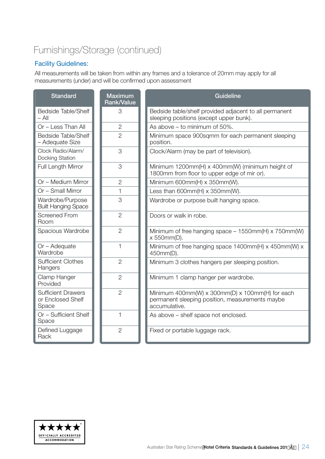### Furnishings/Storage (continued)

### Facility Guidelines:

All measurements will be taken from within any frames and a tolerance of 20mm may apply for all measurements (under) and will be confirmed upon assessment

| <b>Standard</b>                                         | <b>Maximum</b><br><b>Rank/Value</b> | Guideline                                                                                                           |  |
|---------------------------------------------------------|-------------------------------------|---------------------------------------------------------------------------------------------------------------------|--|
| Bedside Table/Shelf<br>$-$ All                          | 3                                   | Bedside table/shelf provided adjacent to all permanent<br>sleeping positions (except upper bunk).                   |  |
| Or - Less Than All                                      | $\mathbf{2}$                        | As above $-$ to minimum of 50%.                                                                                     |  |
| Bedside Table/Shelf<br>- Adequate Size                  | $\overline{2}$                      | Minimum space 900sqmm for each permanent sleeping<br>position.                                                      |  |
| Clock Radio/Alarm/<br>Docking Station                   | 3                                   | Clock/Alarm (may be part of television).                                                                            |  |
| Full Length Mirror                                      | 3                                   | Minimum 1200mm(H) x 400mm(W) (minimum height of<br>1800mm from floor to upper edge of mir or).                      |  |
| Or - Medium Mirror                                      | $\overline{2}$                      | Minimum 600mm(H) x 350mm(W).                                                                                        |  |
| Or - Small Mirror                                       | $\mathbf{1}$                        | Less than 600mm(H) x 350mm(W).                                                                                      |  |
| Wardrobe/Purpose<br><b>Built Hanging Space</b>          | 3                                   | Wardrobe or purpose built hanging space.                                                                            |  |
| <b>Screened From</b><br>Room                            | $\overline{2}$                      | Doors or walk in robe.                                                                                              |  |
| Spacious Wardrobe                                       | $\overline{2}$                      | Minimum of free hanging space $-1550$ mm(H) x 750mm(W)<br>x 550mm(D).                                               |  |
| Or - Adequate<br>Wardrobe                               | $\mathbf{1}$                        | Minimum of free hanging space 1400mm(H) x 450mm(W) x<br>450mm(D).                                                   |  |
| <b>Sufficient Clothes</b><br>Hangers                    | $\overline{2}$                      | Minimum 3 clothes hangers per sleeping position.                                                                    |  |
| Clamp Hanger<br>Provided                                | $\overline{2}$                      | Minimum 1 clamp hanger per wardrobe.                                                                                |  |
| <b>Sufficient Drawers</b><br>or Enclosed Shelf<br>Space | $\overline{2}$                      | Minimum 400mm(W) x 300mm(D) x 100mm(H) for each<br>permanent sleeping position, measurements maybe<br>accumulative. |  |
| Or - Sufficient Shelf<br>Space                          | $\mathbf{1}$                        | As above – shelf space not enclosed.                                                                                |  |
| Defined Luggage<br>Rack                                 | $\overline{2}$                      | Fixed or portable luggage rack.                                                                                     |  |

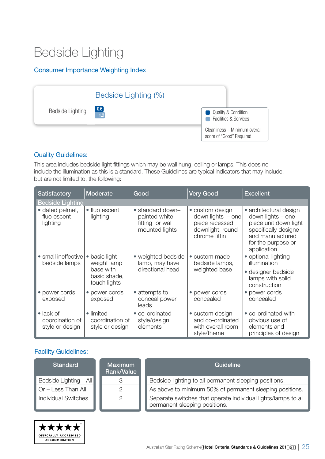### Bedside Lighting

### Consumer Importance Weighting Index

|                  | Bedside Lighting (%)                      |                                                           |
|------------------|-------------------------------------------|-----------------------------------------------------------|
| Bedside Lighting | $\begin{array}{c} 0.6 \\ 1.2 \end{array}$ | Quality & Condition<br><b>Exercilities &amp; Services</b> |
|                  |                                           | Cleanliness - Minimum overall<br>score of "Good" Required |

#### Quality Guidelines:

This area includes bedside light fittings which may be wall hung, ceiling or lamps. This does no include the illumination as this is a standard. These Guidelines are typical indicators that may include, but are not limited to, the following:

| <b>Satisfactory</b>                                     | Moderate                                        | Good                                                                  | <b>Very Good</b>                                                                              | <b>Excellent</b>                                                                                                                                      |
|---------------------------------------------------------|-------------------------------------------------|-----------------------------------------------------------------------|-----------------------------------------------------------------------------------------------|-------------------------------------------------------------------------------------------------------------------------------------------------------|
| <b>Bedside Lighting</b>                                 |                                                 |                                                                       |                                                                                               |                                                                                                                                                       |
| • dated pelmet,<br>fluo escent<br>lighting              | • fluo escent<br>lighting                       | • standard down-<br>painted white<br>fitting or wal<br>mounted lights | • custom design<br>down lights $-$ one<br>piece recessed<br>downlight, round<br>chrome fittin | • architectural design<br>down lights - one<br>piece unit down light<br>specifically designe<br>and manufactured<br>for the purpose or<br>application |
| • small ineffective<br>bedside lamps                    | basic light-<br>$\bullet$<br>weight lamp        | • weighted bedside<br>lamp, may have                                  | • custom made<br>bedside lamps,                                                               | • optional lighting<br>illumination                                                                                                                   |
|                                                         | base with<br>basic shade,<br>touch lights       | directional head                                                      | weighted base                                                                                 | • designer bedside<br>lamps with solid<br>construction                                                                                                |
| • power cords<br>exposed                                | • power cords<br>exposed                        | • attempts to<br>conceal power<br>leads                               | • power cords<br>concealed                                                                    | • power cords<br>concealed                                                                                                                            |
| $\bullet$ lack of<br>coordination of<br>style or design | • limited<br>coordination of<br>style or design | • co-ordinated<br>style/design<br>elements                            | • custom design<br>and co-ordinated<br>with overall room<br>style/theme                       | • co-ordinated with<br>obvious use of<br>elements and<br>principles of design                                                                         |

| <b>Standard</b>           | Maximum<br>Rank/Value | Guideline                                                                                      |
|---------------------------|-----------------------|------------------------------------------------------------------------------------------------|
| Bedside Lighting - All    | З                     | Bedside lighting to all permanent sleeping positions.                                          |
| $\Box$ Or – Less Than All |                       | As above to minimum 50% of permanent sleeping positions.                                       |
| Individual Switches       |                       | Separate switches that operate individual lights/lamps to all<br>permanent sleeping positions. |

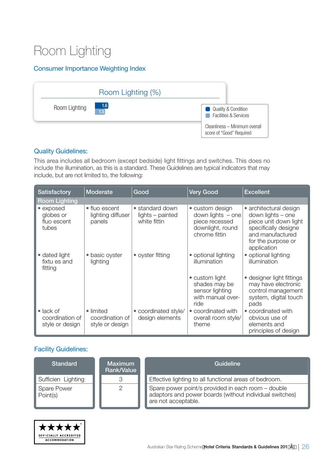### Room Lighting

### Consumer Importance Weighting Index



#### Quality Guidelines:

This area includes all bedroom (except bedside) light fittings and switches. This does no include the illumination, as this is a standard. These Guidelines are typical indicators that may include, but are not limited to, the following:

| Satisfactory                                            | <b>Moderate</b>                                 | Good                                                | <b>Very Good</b>                                                                              | <b>Excellent</b>                                                                                                                                      |
|---------------------------------------------------------|-------------------------------------------------|-----------------------------------------------------|-----------------------------------------------------------------------------------------------|-------------------------------------------------------------------------------------------------------------------------------------------------------|
| <b>Room Lighting</b>                                    |                                                 |                                                     |                                                                                               |                                                                                                                                                       |
| • exposed<br>globes or<br>fluo escent<br>tubes          | • fluo escent<br>lighting diffuser<br>panels    | • standard down<br>lights – painted<br>white fittin | • custom design<br>down lights $-$ one<br>piece recessed<br>downlight, round<br>chrome fittin | • architectural design<br>down lights – one<br>piece unit down light<br>specifically designe<br>and manufactured<br>for the purpose or<br>application |
| • dated light<br>fixtu es and<br>fitting                | • basic oyster<br>lighting                      | • oyster fitting                                    | • optional lighting<br>illumination                                                           | • optional lighting<br>illumination                                                                                                                   |
|                                                         |                                                 |                                                     | • custom light<br>shades may be<br>sensor lighting<br>with manual over-<br>ride               | • designer light fittings<br>may have electronic<br>control management<br>system, digital touch<br>pads                                               |
| $\bullet$ lack of<br>coordination of<br>style or design | • limited<br>coordination of<br>style or design | • coordinated style/<br>design elements             | • coordinated with<br>overall room style/<br>theme                                            | • coordinated with<br>obvious use of<br>elements and<br>principles of design                                                                          |

| Standard                | <b>Maximum</b><br>Rank/Value | Guideline                                                                                                                            |
|-------------------------|------------------------------|--------------------------------------------------------------------------------------------------------------------------------------|
| Sufficien Lighting      | $\mathcal{R}$                | Effective lighting to all functional areas of bedroom.                                                                               |
| Spare Power<br>Point(s) |                              | Spare power point/s provided in each room - double<br>adaptors and power boards (without individual switches)<br>are not acceptable. |

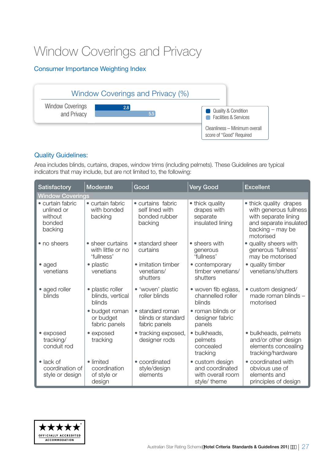### Window Coverings and Privacy

### Consumer Importance Weighting Index



### Quality Guidelines:

Area includes blinds, curtains, drapes, window trims (including pelmets). These Guidelines are typical indicators that may include, but are not limited to, the following:

| Satisfactory                                                   | Moderate                                            | Good                                                             | <b>Very Good</b>                                                        | <b>Excellent</b>                                                                                                                    |
|----------------------------------------------------------------|-----------------------------------------------------|------------------------------------------------------------------|-------------------------------------------------------------------------|-------------------------------------------------------------------------------------------------------------------------------------|
| <b>Window Coverings</b>                                        |                                                     |                                                                  |                                                                         |                                                                                                                                     |
| • curtain fabric<br>unlined or<br>without<br>bonded<br>backing | • curtain fabric<br>with bonded<br>backing          | • curtains fabric<br>self lined with<br>bonded rubber<br>backing | • thick quality<br>drapes with<br>separate<br>insulated lining          | • thick quality drapes<br>with generous fullness<br>with separate lining<br>and separate insulated<br>backing - may be<br>motorised |
| • no sheers                                                    | • sheer curtains<br>with little or no<br>'fullness' | • standard sheer<br>curtains                                     | • sheers with<br>generous<br>'fullness'                                 | • quality sheers with<br>generous 'fullness'<br>may be motorised                                                                    |
| $\bullet$ aged<br>venetians                                    | • plastic<br>venetians                              | • imitation timber<br>venetians/<br>shutters                     | • contemporary<br>timber venetians/<br>shutters                         | • quality timber<br>venetians/shutters                                                                                              |
| • aged roller<br>blinds                                        | • plastic roller<br>blinds, vertical<br>blinds      | • 'woven' plastic<br>roller blinds                               | • woven fib eglass,<br>channelled roller<br>blinds                      | • custom designed/<br>made roman blinds -<br>motorised                                                                              |
|                                                                | · budget roman<br>or budget<br>fabric panels        | • standard roman<br>blinds or standard<br>fabric panels          | • roman blinds or<br>designer fabric<br>panels                          |                                                                                                                                     |
| • exposed<br>tracking/<br>conduit rod                          | • exposed<br>tracking                               | • tracking exposed,<br>designer rods                             | · bulkheads,<br>pelmets<br>concealed<br>tracking                        | • bulkheads, pelmets<br>and/or other design<br>elements concealing<br>tracking/hardware                                             |
| $\bullet$ lack of<br>coordination of<br>style or design        | • limited<br>coordination<br>of style or<br>design  | • coordinated<br>style/design<br>elements                        | • custom design<br>and coordinated<br>with overall room<br>style/ theme | • coordinated with<br>obvious use of<br>elements and<br>principles of design                                                        |

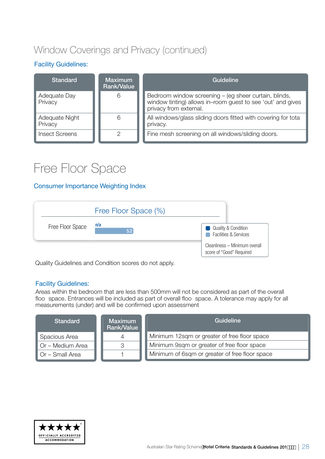### Window Coverings and Privacy (continued)

### Facility Guidelines:

| <b>Standard</b>           | <b>Maximum</b><br><b>Rank/Value</b> | Guideline                                                                                                                                      |
|---------------------------|-------------------------------------|------------------------------------------------------------------------------------------------------------------------------------------------|
| Adequate Day<br>Privacy   | 6                                   | Bedroom window screening - (eg sheer curtain, blinds,<br>window tinting) allows in-room guest to see 'out' and gives<br>privacy from external. |
| Adequate Night<br>Privacy | 6                                   | All windows/glass sliding doors fitted with covering for tota<br>privacy.                                                                      |
| <b>Insect Screens</b>     |                                     | Fine mesh screening on all windows/sliding doors.                                                                                              |

### Free Floor Space

#### Consumer Importance Weighting Index



Quality Guidelines and Condition scores do not apply.

#### Facility Guidelines:

Areas within the bedroom that are less than 500mm will not be considered as part of the overall floo space. Entrances will be included as part of overall floo space. A tolerance may apply for all measurements (under) and will be confirmed upon assessment

| <b>Standard</b>  | Maximum<br>Rank/Value | Guideline                                      |
|------------------|-----------------------|------------------------------------------------|
| Spacious Area    |                       | Minimum 12sqm or greater of free floor space   |
| Or - Medium Area |                       | Minimum 9sqm or greater of free floor space    |
| Or - Small Area  |                       | Minimum of 6sqm or greater of free floor space |

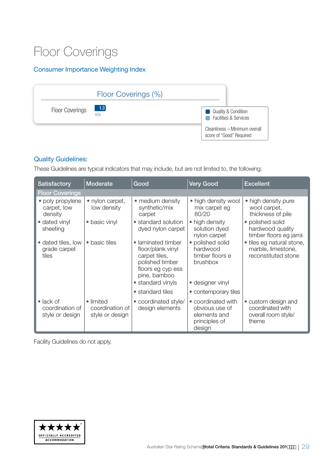### Floor Coverings

### Consumer Importance Weighting Index

|                        | Floor Coverings (%) |                                                           |
|------------------------|---------------------|-----------------------------------------------------------|
| <b>Floor Coverings</b> | $\frac{1.3}{n/a}$   | Quality & Condition<br>Facilities & Services              |
|                        |                     | Cleanliness - Minimum overall<br>score of "Good" Required |

#### Quality Guidelines:

These Guidelines are typical indicators that may include, but are not limited to, the following:

| <b>Satisfactory</b>                                     | Moderate                                        | Good                                                                                                                                  | <b>Very Good</b>                                                                | <b>Excellent</b>                                                        |
|---------------------------------------------------------|-------------------------------------------------|---------------------------------------------------------------------------------------------------------------------------------------|---------------------------------------------------------------------------------|-------------------------------------------------------------------------|
| <b>Floor Coverings</b>                                  |                                                 |                                                                                                                                       |                                                                                 |                                                                         |
| • poly propylene<br>carpet, low<br>density              | • nylon carpet,<br>low density                  | • medium density<br>synthetic/mix<br>carpet                                                                                           | • high density wool<br>mix carpet eg<br>80/20                                   | • high density pure<br>wool carpet,<br>thickness of pile                |
| • dated vinyl<br>sheeting                               | • basic vinyl                                   | • standard solution<br>dyed nylon carpet                                                                                              | • high density<br>solution dyed<br>nylon carpet                                 | polished solid<br>٠<br>hardwood quality<br>timber floors eg jarra       |
| • dated tiles, low<br>grade carpet<br>tiles             | • basic tiles                                   | • laminated timber<br>floor/plank vinyl<br>carpet tiles,<br>polished timber<br>floors eg cyp ess<br>pine, bamboo<br>• standard vinyls | • polished solid<br>hardwood<br>timber floors e<br>brushbox<br>• designer vinyl | • tiles eg natural stone,<br>marble, limestone,<br>reconstituted stone  |
|                                                         |                                                 |                                                                                                                                       |                                                                                 |                                                                         |
|                                                         |                                                 | • standard tiles                                                                                                                      | • contemporary tiles                                                            |                                                                         |
| $\bullet$ lack of<br>coordination of<br>style or design | • limited<br>coordination of<br>style or design | • coordinated style/<br>design elements                                                                                               | • coordinated with<br>obvious use of<br>elements and<br>principles of<br>design | • custom design and<br>coordinated with<br>overall room style/<br>theme |

Facility Guidelines do not apply.

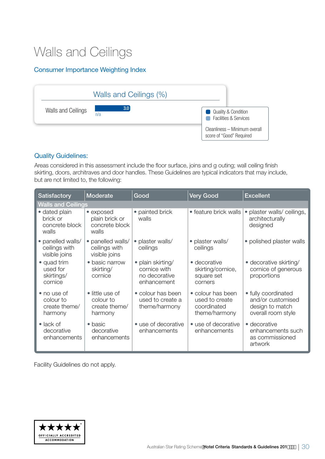### Walls and Ceilings

### Consumer Importance Weighting Index



#### Quality Guidelines:

Areas considered in this assessment include the floor surface, joins and g outing; wall ceiling finish skirting, doors, architraves and door handles. These Guidelines are typical indicators that may include, but are not limited to, the following:

| <b>Satisfactory</b>                                  | Moderate                                                 | Good                                                              | <b>Very Good</b>                                                    | <b>Excellent</b>                                                                  |
|------------------------------------------------------|----------------------------------------------------------|-------------------------------------------------------------------|---------------------------------------------------------------------|-----------------------------------------------------------------------------------|
| <b>Walls and Ceilings</b>                            |                                                          |                                                                   |                                                                     |                                                                                   |
| · dated plain<br>brick or<br>concrete block<br>walls | • exposed<br>plain brick or<br>concrete block<br>walls   | • painted brick<br>walls                                          | • feature brick walls                                               | · plaster walls/ ceilings,<br>architecturally<br>designed                         |
| · panelled walls/<br>ceilings with<br>visible joins  | · panelled walls/<br>ceilings with<br>visible joins      | · plaster walls/<br>ceilings                                      | • plaster walls/<br>ceilings                                        | • polished plaster walls                                                          |
| • quad trim<br>used for<br>skirtings/<br>cornice     | · basic narrow<br>skirting/<br>cornice                   | · plain skirting/<br>cornice with<br>no decorative<br>enhancement | • decorative<br>skirting/cornice,<br>square set<br>corners          | · decorative skirting/<br>cornice of generous<br>proportions                      |
| • no use of<br>colour to<br>create theme/<br>harmony | • little use of<br>colour to<br>create theme/<br>harmony | • colour has been<br>used to create a<br>theme/harmony            | • colour has been<br>used to create<br>coordinated<br>theme/harmony | • fully coordinated<br>and/or customised<br>design to match<br>overall room style |
| $\bullet$ lack of<br>decorative<br>enhancements      | • basic<br>decorative<br>enhancements                    | • use of decorative<br>enhancements                               | • use of decorative<br>enhancements                                 | • decorative<br>enhancements such<br>as commissioned<br>artwork                   |

Facility Guidelines do not apply.

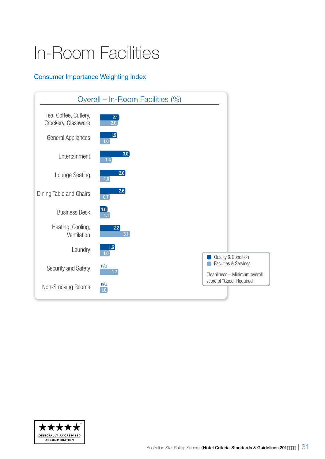## In-Room Facilities

### Consumer Importance Weighting Index



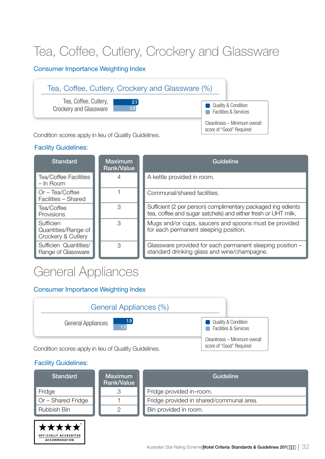### Tea, Coffee, Cutlery, Crockery and Glassware

### Consumer Importance Weighting Index

### Tea, Coffee, Cutlery, Crockery and Glassware (%)

2.1

Tea, Coffee, Cutlery, Crockery and Glassware

2.0 Quality & Condition **Facilities & Services** 

> Cleanliness – Minimum overall score of "Good" Required

Condition scores apply in lieu of Quality Guidelines.

### Facility Guidelines:

| <b>Standard</b>                                        | <b>Maximum</b><br><b>Rank/Value</b> | Guideline                                                                                                                     |
|--------------------------------------------------------|-------------------------------------|-------------------------------------------------------------------------------------------------------------------------------|
| Tea/Coffee Facilities<br>– In Room                     |                                     | A kettle provided in room.                                                                                                    |
| Or - Tea/Coffee<br>Facilities - Shared                 |                                     | Communal/shared facilities.                                                                                                   |
| Tea/Coffee<br>Provisions                               | З                                   | Sufficient (2 per person) complimentary packaged ing edients<br>tea, coffee and sugar satchels) and either fresh or UHT milk. |
| Sufficien<br>Quantities/Range of<br>Crockery & Cutlery | З                                   | Mugs and/or cups, saucers and spoons must be provided<br>for each permanent sleeping position.                                |
| Sufficien Quantities/<br>Range of Glassware            | З                                   | Glassware provided for each permanent sleeping position -<br>standard drinking glass and wine/champagne.                      |

### General Appliances

#### Consumer Importance Weighting Index



Condition scores apply in lieu of Quality Guidelines.

| <b>Standard</b>           | <b>Maximum</b><br>Rank/Value | Guideline                                |
|---------------------------|------------------------------|------------------------------------------|
| Fridge                    |                              | Fridge provided in-room.                 |
| $\Box$ Or – Shared Fridge |                              | Fridge provided in shared/communal area. |
| <b>Rubbish Bin</b>        |                              | Bin provided in room.                    |



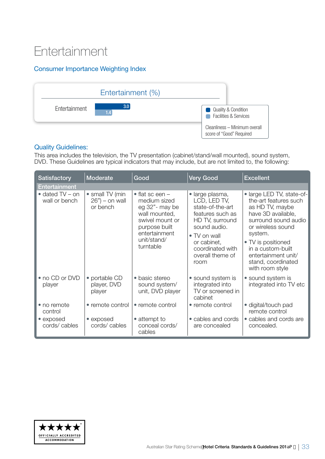### Entertainment

### Consumer Importance Weighting Index



#### Quality Guidelines:

This area includes the television, the TV presentation (cabinet/stand/wall mounted), sound system, DVD. These Guidelines are typical indicators that may include, but are not limited to, the following:

| <b>Satisfactory</b>                                  | Moderate                               | Good                                                                                                             | <b>Very Good</b>                                                                                                                                                         | <b>Excellent</b>                                                                                                   |
|------------------------------------------------------|----------------------------------------|------------------------------------------------------------------------------------------------------------------|--------------------------------------------------------------------------------------------------------------------------------------------------------------------------|--------------------------------------------------------------------------------------------------------------------|
| <b>Entertainment</b>                                 |                                        |                                                                                                                  |                                                                                                                                                                          |                                                                                                                    |
| $\bullet$ dated TV – on<br>wall or bench<br>or bench | • small TV (min<br>$26"$ ) – on wall   | $\bullet$ flat sc een $-$<br>medium sized<br>eg 32"- may be<br>wall mounted,<br>swivel mount or<br>purpose built | · large plasma,<br>LCD, LED TV,<br>state-of-the-art<br>as HD TV, maybe<br>features such as<br>have 3D available,<br>HD TV, surround<br>sound audio.<br>or wireless sound | · large LED TV, state-of-<br>the-art features such<br>surround sound audio                                         |
|                                                      |                                        | entertainment<br>unit/stand/<br>turntable                                                                        | • TV on wall<br>or cabinet,<br>coordinated with<br>overall theme of<br>room                                                                                              | system.<br>• TV is positioned<br>in a custom-built<br>entertainment unit/<br>stand, coordinated<br>with room style |
| • no CD or DVD<br>player                             | • portable CD<br>player, DVD<br>player | • basic stereo<br>sound system/<br>unit, DVD player                                                              | • sound system is<br>integrated into<br>TV or screened in<br>cabinet                                                                                                     | • sound system is<br>integrated into TV etc                                                                        |
| • no remote<br>control                               | • remote control                       | • remote control                                                                                                 | • remote control                                                                                                                                                         | • digital/touch pad<br>remote control                                                                              |
| • exposed<br>cords/cables                            | • exposed<br>cords/cables              | • attempt to<br>conceal cords/<br>cables                                                                         | • cables and cords<br>are concealed                                                                                                                                      | • cables and cords are<br>concealed.                                                                               |

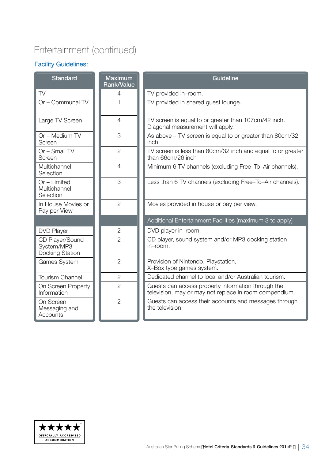### Entertainment (continued)

| <b>Standard</b>                                  | <b>Maximum</b><br>Rank/Value | Guideline                                                                                                    |  |
|--------------------------------------------------|------------------------------|--------------------------------------------------------------------------------------------------------------|--|
| <b>TV</b>                                        | $\overline{4}$               | TV provided in-room.                                                                                         |  |
| Or - Communal TV                                 |                              | TV provided in shared guest lounge.                                                                          |  |
| Large TV Screen                                  | $\overline{4}$               | TV screen is equal to or greater than 107cm/42 inch.<br>Diagonal measurement will apply.                     |  |
| Or - Medium TV<br>Screen                         | 3                            | As above - TV screen is equal to or greater than 80cm/32<br>inch.                                            |  |
| $Or$ – Small TV<br>Screen                        | $\overline{2}$               | TV screen is less than 80cm/32 inch and equal to or greater<br>than 66cm/26 inch                             |  |
| Multichannel<br>Selection                        | $\overline{4}$               | Minimum 6 TV channels (excluding Free-To-Air channels).                                                      |  |
| Or - Limited<br>Multichannel<br>Selection        | 3                            | Less than 6 TV channels (excluding Free-To-Air channels).                                                    |  |
| In House Movies or<br>Pay per View               | $\overline{2}$               | Movies provided in house or pay per view.                                                                    |  |
|                                                  |                              | Additional Entertainment Facilities (maximum 3 to apply)                                                     |  |
| <b>DVD Player</b>                                | $\mathbf{2}$                 | DVD player in-room.                                                                                          |  |
| CD Player/Sound<br>System/MP3<br>Docking Station | $\overline{2}$               | CD player, sound system and/or MP3 docking station<br>in-room.                                               |  |
| <b>Games System</b>                              | $\overline{2}$               | Provision of Nintendo, Playstation,<br>X-Box type games system.                                              |  |
| <b>Tourism Channel</b>                           | $\mathbf{2}$                 | Dedicated channel to local and/or Australian tourism.                                                        |  |
| On Screen Property<br>Information                | $\overline{2}$               | Guests can access property information through the<br>television, may or may not replace in room compendium. |  |
| On Screen<br>Messaging and<br>Accounts           | $\overline{2}$               | Guests can access their accounts and messages through<br>the television.                                     |  |

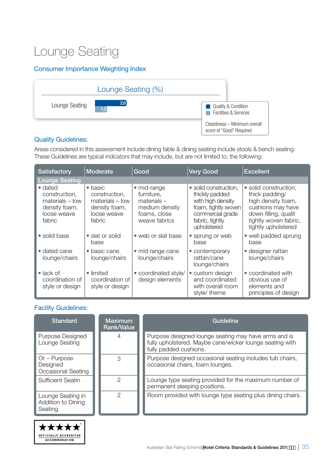### Lounge Seating

### Consumer Importance Weighting Index



#### Quality Guidelines:

Areas considered in this assessment include dining table & dining seating include stools & bench seating. These Guidelines are typical indicators that may include, but are not limited to, the following:

| <b>Satisfactory</b>                                                                     | Moderate                                                                                      | Good                                                                                          | <b>Very Good</b>                                                                                                                          | <b>Excellent</b>                                                                                                                                           |
|-----------------------------------------------------------------------------------------|-----------------------------------------------------------------------------------------------|-----------------------------------------------------------------------------------------------|-------------------------------------------------------------------------------------------------------------------------------------------|------------------------------------------------------------------------------------------------------------------------------------------------------------|
| <b>Lounge Seating</b>                                                                   |                                                                                               |                                                                                               |                                                                                                                                           |                                                                                                                                                            |
| • dated<br>construction,<br>$materials - low$<br>density foam,<br>loose weave<br>fabric | $\bullet$ basic<br>construction,<br>materials - low<br>density foam,<br>loose weave<br>fabric | • mid-range<br>furniture,<br>$materials -$<br>medium density<br>foams, close<br>weave fabrics | · solid construction,<br>thickly padded<br>with high density<br>foam, tightly woven<br>commercial grade<br>fabric, tightly<br>upholstered | · solid construction,<br>thick padding/<br>high density foam,<br>cushions may have<br>down filling, qualit<br>tightly woven fabric,<br>tightly upholstered |
| • solid base                                                                            | • slat or solid<br>base                                                                       | • web or slat base                                                                            | • sprung or web<br>base                                                                                                                   | • well-padded sprung<br>base                                                                                                                               |
| • dated cane<br>lounge/chairs                                                           | basic cane<br>$\bullet$<br>lounge/chairs                                                      | • mid range cane<br>lounge/chairs                                                             | • contemporary<br>rattan/cane<br>lounge/chairs                                                                                            | • designer rattan<br>lounge/chairs                                                                                                                         |
| $\bullet$ lack of<br>coordination of<br>style or design                                 | • limited<br>coordination of<br>style or design                                               | • coordinated style/<br>design elements                                                       | • custom design<br>and coordinated<br>with overall room<br>style/ theme                                                                   | • coordinated with<br>obvious use of<br>elements and<br>principles of design                                                                               |

| <b>Standard</b>                                    | <b>Maximum</b><br><b>Rank/Value</b> | Guideline                                                                                                                                  |
|----------------------------------------------------|-------------------------------------|--------------------------------------------------------------------------------------------------------------------------------------------|
| <b>Purpose Designed</b><br>Lounge Seating          |                                     | Purpose designed lounge seating may have arms and is<br>fully upholstered. Maybe cane/wicker lounge seating with<br>fully padded cushions. |
| $Or$ – Purpose<br>Designed<br>Occasional Seating   | 3                                   | Purpose designed occasional seating includes tub chairs,<br>occasional chairs, foam lounges.                                               |
| <b>Sufficient Seatin</b>                           | 2                                   | Lounge type seating provided for the maximum number of<br>permanent sleeping positions.                                                    |
| Lounge Seating in<br>Addition to Dining<br>Seating | $\mathcal{P}$                       | Room provided with lounge type seating plus dining chairs.                                                                                 |

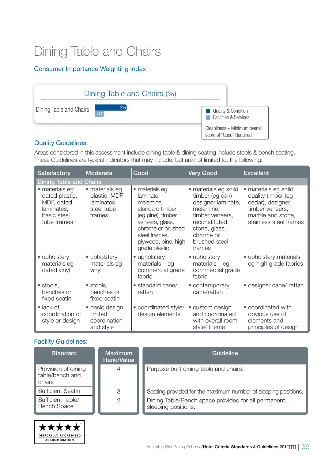### Dining Table and Chairs

### Consumer Importance Weighting Index



#### Quality Guidelines:

Areas considered in this assessment include dining table & dining seating include stools & bench seating. These Guidelines are typical indicators that may include, but are not limited to, the following:

| <b>Satisfactory</b>                                                                        | Moderate                                                              | Good                                                                                                                                                                              | <b>Very Good</b>                                                                                                                                                        | <b>Excellent</b>                                                                                                                 |  |  |  |
|--------------------------------------------------------------------------------------------|-----------------------------------------------------------------------|-----------------------------------------------------------------------------------------------------------------------------------------------------------------------------------|-------------------------------------------------------------------------------------------------------------------------------------------------------------------------|----------------------------------------------------------------------------------------------------------------------------------|--|--|--|
|                                                                                            | <b>Dining Table and Chairs</b>                                        |                                                                                                                                                                                   |                                                                                                                                                                         |                                                                                                                                  |  |  |  |
| • materials eg<br>dated plastic,<br>MDF, dated<br>laminates,<br>basic steel<br>tube frames | • materials eg<br>plastic, MDF,<br>laminates,<br>steel tube<br>frames | • materials eg<br>laminate,<br>melamine,<br>standard timber<br>(eg pine), timber<br>veneers, glass,<br>chrome or brushed<br>steel frames,<br>plywood, pine, high<br>grade plastic | • materials eg solid<br>timber (eg oak)<br>designer laminate,<br>melamine,<br>timber veneers,<br>reconstituted<br>stone, glass,<br>chrome or<br>brushed steel<br>frames | • materials eg solid<br>quality timber (eg<br>cedar), designer<br>timber veneers,<br>marble and stone,<br>stainless steel frames |  |  |  |
| • upholstery<br>materials eg<br>dated vinyl                                                | • upholstery<br>materials eg<br>vinyl                                 | • upholstery<br>$materials - eg$<br>commercial grade<br>fabric                                                                                                                    | • upholstery<br>$materials - eg$<br>commercial grade<br>fabric                                                                                                          | • upholstery materials<br>eg high grade fabrics                                                                                  |  |  |  |
| $\bullet$ stools.<br>benches or<br>fixed seatin                                            | · stools.<br>benches or<br>fixed seatin                               | · standard cane/<br>rattan                                                                                                                                                        | • contemporary<br>cane/rattan                                                                                                                                           | • designer cane/ rattan                                                                                                          |  |  |  |
| $\bullet$ lack of<br>coordination of<br>style or design                                    | · basic design,<br>limited<br>coordination<br>and style               | • coordinated style/<br>design elements                                                                                                                                           | • custom design<br>and coordinated<br>with overall room<br>style/ theme                                                                                                 | • coordinated with<br>obvious use of<br>elements and<br>principles of design                                                     |  |  |  |

| <b>Standard</b>                                  | Maximum<br>Rank/Value | Guideline                                                                  |
|--------------------------------------------------|-----------------------|----------------------------------------------------------------------------|
| Provision of dining<br>table/bench and<br>chairs | 4                     | Purpose built dining table and chairs.                                     |
| <b>Sufficient Seatin</b>                         | ◠                     | Seating provided for the maximum number of sleeping positions.             |
| Sufficient able/<br><b>Bench Space</b>           | ◠                     | Dining Table/Bench space provided for all permanent<br>sleeping positions. |

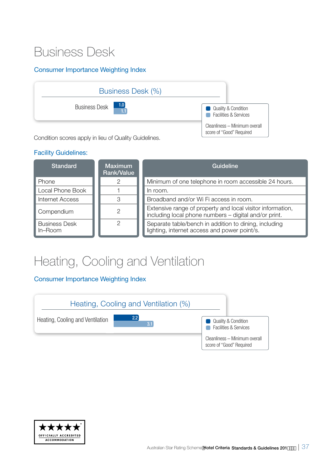### Business Desk

### Consumer Importance Weighting Index



Condition scores apply in lieu of Quality Guidelines.

#### Facility Guidelines:

| <b>Standard</b>                 | <b>Maximum</b><br><b>Rank/Value</b> | Guideline                                                                                                           |
|---------------------------------|-------------------------------------|---------------------------------------------------------------------------------------------------------------------|
| Phone                           | ႒                                   | Minimum of one telephone in room accessible 24 hours.                                                               |
| Local Phone Book                |                                     | In room.                                                                                                            |
| <b>Internet Access</b>          | 3                                   | Broadband and/or Wi Fi access in room.                                                                              |
| Compendium                      | 2                                   | Extensive range of property and local visitor information,<br>including local phone numbers - digital and/or print. |
| <b>Business Desk</b><br>In-Room | റ                                   | Separate table/bench in addition to dining, including<br>lighting, internet access and power point/s.               |

### Heating, Cooling and Ventilation

Consumer Importance Weighting Index



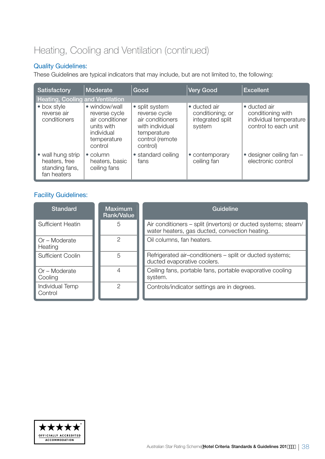### Heating, Cooling and Ventilation (continued)

#### Quality Guidelines:

These Guidelines are typical indicators that may include, but are not limited to, the following:

| <b>Satisfactory</b>                                                 | Moderate                                                                                                | Good                                                                                                                 | <b>Very Good</b>                                               | <b>Excellent</b>                                                                    |
|---------------------------------------------------------------------|---------------------------------------------------------------------------------------------------------|----------------------------------------------------------------------------------------------------------------------|----------------------------------------------------------------|-------------------------------------------------------------------------------------|
| <b>Heating, Cooling and Ventilation</b>                             |                                                                                                         |                                                                                                                      |                                                                |                                                                                     |
| • box style<br>reverse air<br>conditioners                          | • window/wall<br>reverse cycle<br>air conditioner<br>units with<br>individual<br>temperature<br>control | • split system<br>reverse cycle<br>air conditioners<br>with individual<br>temperature<br>control (remote<br>control) | • ducted air<br>conditioning; or<br>integrated split<br>system | • ducted air<br>conditioning with<br>individual temperature<br>control to each unit |
| • wall hung strip<br>heaters, free<br>standing fans,<br>fan heaters | $\bullet$ column<br>heaters, basic<br>ceiling fans                                                      | • standard ceiling<br>fans                                                                                           | • contemporary<br>ceiling fan                                  | · designer ceiling fan -<br>electronic control                                      |

| <b>Standard</b>            | <b>Maximum</b><br>Rank/Value | Guideline                                                                                                        |
|----------------------------|------------------------------|------------------------------------------------------------------------------------------------------------------|
| <b>Sufficient Heatin</b>   | 5                            | Air conditioners – split (invertors) or ducted systems; steam/<br>water heaters, gas ducted, convection heating. |
| Or - Moderate<br>Heating   | 2                            | Oil columns, fan heaters.                                                                                        |
| <b>Sufficient Coolin</b>   | 5                            | Refrigerated air-conditioners - split or ducted systems;<br>ducted evaporative coolers.                          |
| Or - Moderate<br>Cooling   |                              | Ceiling fans, portable fans, portable evaporative cooling<br>system.                                             |
| Individual Temp<br>Control | っ                            | Controls/indicator settings are in degrees.                                                                      |

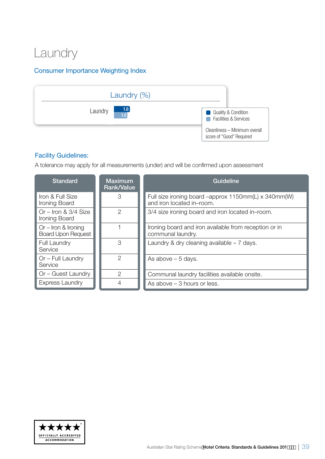### Laundry

### Consumer Importance Weighting Index



### Facility Guidelines:

A tolerance may apply for all measurements (under) and will be confirmed upon assessment

| <b>Standard</b>                                    | <b>Maximum</b><br>Rank/Value | Guideline                                                                         |
|----------------------------------------------------|------------------------------|-----------------------------------------------------------------------------------|
| Iron & Full Size<br>Ironing Board                  | З                            | Full size ironing board -approx 1150mm(L) x 340mm(W)<br>and iron located in-room. |
| Or $-$ Iron & 3/4 Size<br>Ironing Board            | 2                            | 3/4 size ironing board and iron located in-room.                                  |
| $Or - Iron$ & Ironing<br><b>Board Upon Request</b> |                              | Ironing board and iron available from reception or in<br>communal laundry.        |
| <b>Full Laundry</b><br>Service                     | 3                            | Laundry & dry cleaning available $-7$ days.                                       |
| Or - Full Laundry<br>Service                       | 2                            | As above $-5$ days.                                                               |
| Or - Guest Laundry                                 | $\mathcal{P}$                | Communal laundry facilities available onsite.                                     |
| <b>Express Laundry</b>                             |                              | As above $-3$ hours or less.                                                      |

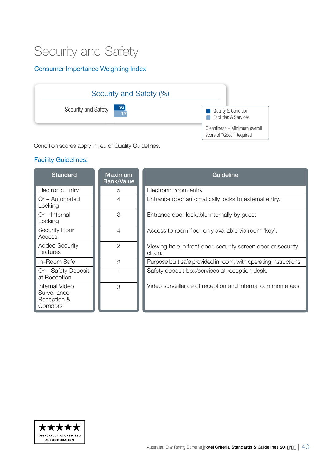### Security and Safety

### Consumer Importance Weighting Index



Condition scores apply in lieu of Quality Guidelines.

| <b>Standard</b>                                            | <b>Maximum</b><br><b>Rank/Value</b> | <b>Guideline</b>                                                       |
|------------------------------------------------------------|-------------------------------------|------------------------------------------------------------------------|
| Electronic Entry                                           | 5                                   | Electronic room entry.                                                 |
| Or – Automated<br>Locking                                  | 4                                   | Entrance door automatically locks to external entry.                   |
| Or – Internal<br>Locking                                   | 3                                   | Entrance door lockable internally by guest.                            |
| <b>Security Floor</b><br>Access                            | $\overline{4}$                      | Access to room floo only available via room 'key'.                     |
| <b>Added Security</b><br>Features                          | $\overline{2}$                      | Viewing hole in front door, security screen door or security<br>chain. |
| In-Room Safe                                               | 2                                   | Purpose built safe provided in room, with operating instructions.      |
| Or - Safety Deposit<br>at Reception                        |                                     | Safety deposit box/services at reception desk.                         |
| Internal Video<br>Surveillance<br>Reception &<br>Corridors | 3                                   | Video surveillance of reception and internal common areas.             |

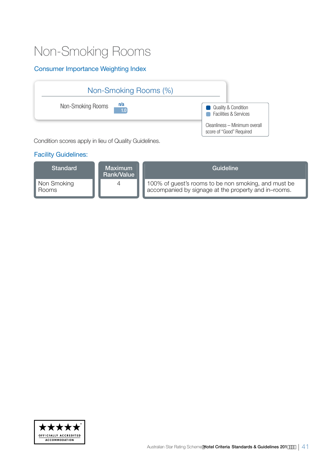### Non-Smoking Rooms

### Consumer Importance Weighting Index



Condition scores apply in lieu of Quality Guidelines.



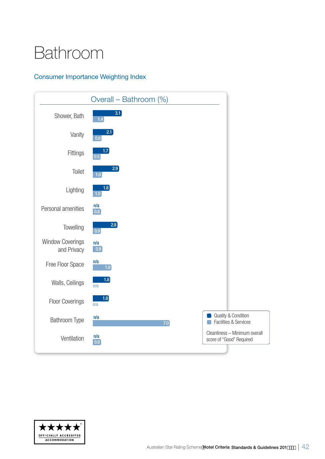## Bathroom

### Consumer Importance Weighting Index



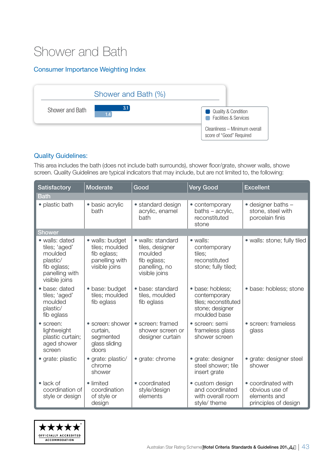### Shower and Bath

### Consumer Importance Weighting Index



#### Quality Guidelines:

This area includes the bath (does not include bath surrounds), shower floor/grate, shower walls, showe screen. Quality Guidelines are typical indicators that may include, but are not limited to, the following:

| <b>Satisfactory</b>                                                                                      | Moderate                                                                            | Good                                                                                             | <b>Very Good</b>                                                                            | <b>Excellent</b>                                                             |
|----------------------------------------------------------------------------------------------------------|-------------------------------------------------------------------------------------|--------------------------------------------------------------------------------------------------|---------------------------------------------------------------------------------------------|------------------------------------------------------------------------------|
| <b>Bath</b>                                                                                              |                                                                                     |                                                                                                  |                                                                                             |                                                                              |
| • plastic bath                                                                                           | · basic acrylic<br>hath                                                             | • standard design<br>acrylic, enamel<br>bath                                                     | • contemporary<br>baths - acrylic,<br>reconstituted<br>stone                                | • designer baths -<br>stone, steel with<br>porcelain finis                   |
| <b>Shower</b>                                                                                            |                                                                                     |                                                                                                  |                                                                                             |                                                                              |
| · walls: dated<br>tiles; 'aged'<br>moulded<br>plastic/<br>fib eglass;<br>panelling with<br>visible joins | · walls: budget<br>tiles; moulded<br>fib eglass;<br>panelling with<br>visible joins | • walls: standard<br>tiles, designer<br>moulded<br>fib eglass;<br>panelling, no<br>visible joins | • walls:<br>contemporary<br>tiles:<br>reconstituted<br>stone; fully tiled;                  | · walls: stone; fully tiled                                                  |
| · base: dated<br>tiles; 'aged'<br>moulded<br>plastic/<br>fib eglass                                      | · base: budget<br>tiles; moulded<br>fib eglass                                      | · base: standard<br>tiles, moulded<br>fib eglass                                                 | · base: hobless;<br>contemporary<br>tiles; reconstituted<br>stone; designer<br>moulded base | · base: hobless; stone                                                       |
| • screen:<br>lightweight<br>plastic curtain;<br>aged shower<br>screen                                    | • screen: shower<br>curtain,<br>segmented<br>glass sliding<br>doors                 | • screen: framed<br>shower screen or<br>designer curtain                                         | • screen: semi<br>frameless glass<br>shower screen                                          | • screen: frameless<br>glass                                                 |
| • grate: plastic                                                                                         | • grate: plastic/<br>chrome<br>shower                                               | • grate: chrome                                                                                  | • grate: designer<br>steel shower; tile<br>insert grate                                     | • grate: designer steel<br>shower                                            |
| $\bullet$ lack of<br>coordination of<br>style or design                                                  | • limited<br>coordination<br>of style or<br>design                                  | • coordinated<br>style/design<br>elements                                                        | • custom design<br>and coordinated<br>with overall room<br>style/ theme                     | • coordinated with<br>obvious use of<br>elements and<br>principles of design |

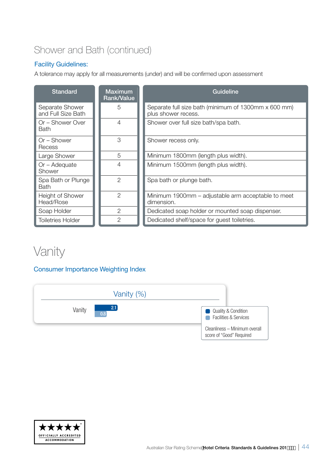### Shower and Bath (continued)

### Facility Guidelines:

A tolerance may apply for all measurements (under) and will be confirmed upon assessment

| <b>Standard</b>                       | <b>Maximum</b><br><b>Rank/Value</b> | <b>Guideline</b>                                                            |
|---------------------------------------|-------------------------------------|-----------------------------------------------------------------------------|
| Separate Shower<br>and Full Size Bath | 5                                   | Separate full size bath (minimum of 1300mm x 600 mm)<br>plus shower recess. |
| Or - Shower Over<br><b>Bath</b>       | 4                                   | Shower over full size bath/spa bath.                                        |
| $Or - Shower$<br>Recess               | 3                                   | Shower recess only.                                                         |
| Large Shower                          | 5                                   | Minimum 1800mm (length plus width).                                         |
| $Or - Adequate$<br>Shower             | 4                                   | Minimum 1500mm (length plus width).                                         |
| Spa Bath or Plunge<br><b>Bath</b>     | $\overline{2}$                      | Spa bath or plunge bath.                                                    |
| Height of Shower<br>Head/Rose         | $\overline{2}$                      | Minimum 1900mm – adjustable arm acceptable to meet<br>dimension.            |
| Soap Holder                           | $\overline{2}$                      | Dedicated soap holder or mounted soap dispenser.                            |
| Toiletries Holder                     | 2                                   | Dedicated shelf/space for guest toiletries.                                 |

### Vanity

### Consumer Importance Weighting Index



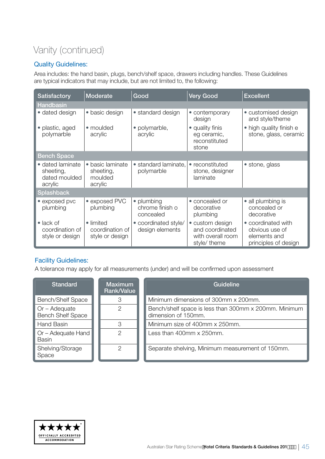### Vanity (continued)

### Quality Guidelines:

Area includes: the hand basin, plugs, bench/shelf space, drawers including handles. These Guidelines are typical indicators that may include, but are not limited to, the following:

| <b>Satisfactory</b>                                       | Moderate                                            | Good                                       | <b>Very Good</b>                                                        | <b>Excellent</b>                                                             |
|-----------------------------------------------------------|-----------------------------------------------------|--------------------------------------------|-------------------------------------------------------------------------|------------------------------------------------------------------------------|
| <b>Handbasin</b>                                          |                                                     |                                            |                                                                         |                                                                              |
| • dated design                                            | • basic design                                      | • standard design                          | • contemporary<br>design                                                | • customised design<br>and style/theme                                       |
| • plastic, aged<br>polymarble                             | $\bullet$ moulded<br>acrylic                        | • polymarble,<br>acrylic                   | • quality finis<br>eg ceramic,<br>reconstituted<br>stone                | • high quality finish e<br>stone, glass, ceramic                             |
| <b>Bench Space</b>                                        |                                                     |                                            |                                                                         |                                                                              |
| • dated laminate<br>sheeting,<br>dated moulded<br>acrylic | • basic laminate<br>sheeting,<br>moulded<br>acrylic | · standard laminate,<br>polymarble         | • reconstituted<br>stone, designer<br>laminate                          | • stone, glass                                                               |
| <b>Splashback</b>                                         |                                                     |                                            |                                                                         |                                                                              |
| • exposed pvc<br>plumbing                                 | • exposed PVC<br>plumbing                           | • plumbing<br>chrome finish o<br>concealed | • concealed or<br>decorative<br>plumbing                                | • all plumbing is<br>concealed or<br>decorative                              |
| $\bullet$ lack of<br>coordination of<br>style or design   | • limited<br>coordination of<br>style or design     | • coordinated style/<br>design elements    | • custom design<br>and coordinated<br>with overall room<br>style/ theme | • coordinated with<br>obvious use of<br>elements and<br>principles of design |

#### Facility Guidelines:

A tolerance may apply for all measurements (under) and will be confirmed upon assessment

| <b>Standard</b>                             | <b>Maximum</b><br>Rank/Value | Guideline                                                                    |
|---------------------------------------------|------------------------------|------------------------------------------------------------------------------|
| <b>Bench/Shelf Space</b>                    | 3                            | Minimum dimensions of 300mm x 200mm.                                         |
| $Or - Adequate$<br><b>Bench Shelf Space</b> | 2                            | Bench/shelf space is less than 300mm x 200mm. Minimum<br>dimension of 150mm. |
| <b>Hand Basin</b>                           | З                            | Minimum size of 400mm x 250mm.                                               |
| Or - Adequate Hand<br><b>Basin</b>          | $\mathcal{P}$                | Less than 400mm x 250mm.                                                     |
| Shelving/Storage<br>Space                   | 2                            | Separate shelving, Minimum measurement of 150mm.                             |

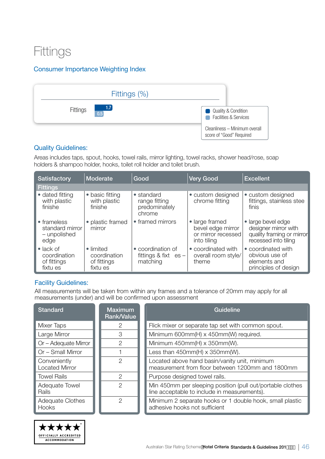### **Fittings**

### Consumer Importance Weighting Index



#### Quality Guidelines:

Areas includes taps, spout, hooks, towel rails, mirror lighting, towel racks, shower head/rose, soap holders & shampoo holder, hooks, toilet roll holder and toilet brush.

| Satisfactory                                                 | Moderate                                             | Good                                                    | <b>Very Good</b>                                                         | <b>Excellent</b>                                                                                |
|--------------------------------------------------------------|------------------------------------------------------|---------------------------------------------------------|--------------------------------------------------------------------------|-------------------------------------------------------------------------------------------------|
| <b>Fittings</b>                                              |                                                      |                                                         |                                                                          |                                                                                                 |
| • dated fitting<br>with plastic<br>finishe                   | • basic fitting<br>with plastic<br>finishe           | • standard<br>range fitting<br>predominately<br>chrome  | • custom designed<br>chrome fitting                                      | • custom designed<br>fittings, stainless stee<br>finis                                          |
| • frameless<br>standard mirror<br>- unpolished<br>edge       | • plastic framed<br>mirror                           | • framed mirrors                                        | • large framed<br>bevel edge mirror<br>or mirror recessed<br>into tiling | · large bevel edge<br>designer mirror with<br>quality framing or mirror<br>recessed into tiling |
| $\bullet$ lack of<br>coordination<br>of fittings<br>fixtu es | • limited<br>coordination<br>of fittings<br>fixtu es | • coordination of<br>fittings & fixt $es -$<br>matching | • coordinated with<br>overall room style/<br>theme                       | • coordinated with<br>obvious use of<br>elements and<br>principles of design                    |

#### Facility Guidelines:

All measurements will be taken from within any frames and a tolerance of 20mm may apply for all measurements (under) and will be confirmed upon assessment

| <b>Standard</b>                       | <b>Maximum</b><br><b>Rank/Value</b> | Guideline                                                                                                  |
|---------------------------------------|-------------------------------------|------------------------------------------------------------------------------------------------------------|
| Mixer Taps                            | 2                                   | Flick mixer or separate tap set with common spout.                                                         |
| Large Mirror                          | З                                   | Minimum 600mm(H) x 450mm(W) required.                                                                      |
| Or - Adequate Mirror                  | 2                                   | Minimum 450mm(H) x 350mm(W).                                                                               |
| Or - Small Mirror                     |                                     | Less than $450mm(H) \times 350mm(W)$ .                                                                     |
| Conveniently<br><b>Located Mirror</b> | 2                                   | Located above hand basin/vanity unit, minimum<br>measurement from floor between 1200mm and 1800mm          |
| <b>Towel Rails</b>                    | 2                                   | Purpose designed towel rails.                                                                              |
| Adequate Towel<br>Rails               | 2                                   | Min 450mm per sleeping position (pull out/portable clothes<br>line acceptable to include in measurements). |
| Adequate Clothes<br><b>Hooks</b>      | 2                                   | Minimum 2 separate hooks or 1 double hook, small plastic<br>adhesive hooks not sufficient                  |

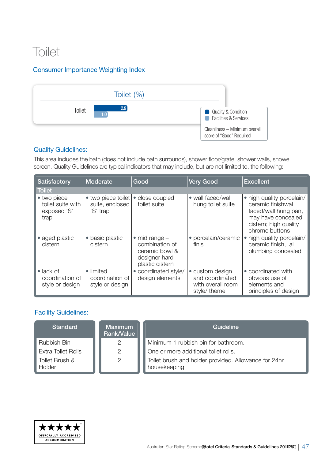### Toilet

### Consumer Importance Weighting Index



#### Quality Guidelines:

This area includes the bath (does not include bath surrounds), shower floor/grate, shower walls, showe screen. Quality Guidelines are typical indicators that may include, but are not limited to, the following:

| <b>Satisfactory</b>                                     | Moderate                                          | Good                                                                                            | <b>Very Good</b>                                                        | <b>Excellent</b>                                                                                                                        |
|---------------------------------------------------------|---------------------------------------------------|-------------------------------------------------------------------------------------------------|-------------------------------------------------------------------------|-----------------------------------------------------------------------------------------------------------------------------------------|
| <b>Toilet</b>                                           |                                                   |                                                                                                 |                                                                         |                                                                                                                                         |
| • two piece<br>toilet suite with<br>exposed 'S'<br>trap | • two piece toilet<br>suite, enclosed<br>'S' trap | • close coupled<br>toilet suite                                                                 | • wall faced/wall<br>hung toilet suite                                  | • high quality porcelain/<br>ceramic finishwal<br>faced/wall hung pan,<br>may have concealed<br>cistern; high quality<br>chrome buttons |
| • aged plastic<br>cistern                               | • basic plastic<br>cistern                        | $\bullet$ mid range $-$<br>combination of<br>ceramic bowl &<br>designer hard<br>plastic cistern | • porcelain/ceramic<br>finis                                            | high quality porcelain/<br>ceramic finish, al<br>plumbing concealed                                                                     |
| $\bullet$ lack of<br>coordination of<br>style or design | • limited<br>coordination of<br>style or design   | • coordinated style/<br>design elements                                                         | • custom design<br>and coordinated<br>with overall room<br>style/ theme | • coordinated with<br>obvious use of<br>elements and<br>principles of design                                                            |

| Standard                  | Maximum<br>Rank/Value | Guideline                                                             |
|---------------------------|-----------------------|-----------------------------------------------------------------------|
| <b>Rubbish Bin</b>        | ⌒                     | Minimum 1 rubbish bin for bathroom.                                   |
| <b>Extra Toilet Rolls</b> |                       | One or more additional toilet rolls.                                  |
| Toilet Brush &<br>Holder  |                       | Toilet brush and holder provided. Allowance for 24hr<br>housekeeping. |

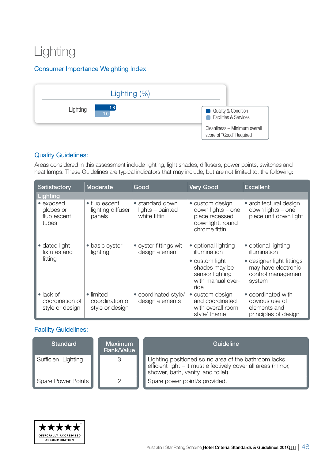### Lighting

### Consumer Importance Weighting Index



#### Quality Guidelines:

Areas considered in this assessment include lighting, light shades, diffusers, power points, switches and heat lamps. These Guidelines are typical indicators that may include, but are not limited to, the following:

| <b>Satisfactory</b>                                     | Moderate                                        | Good                                                | <b>Very Good</b>                                                                            | <b>Excellent</b>                                                                 |
|---------------------------------------------------------|-------------------------------------------------|-----------------------------------------------------|---------------------------------------------------------------------------------------------|----------------------------------------------------------------------------------|
| Lighting                                                |                                                 |                                                     |                                                                                             |                                                                                  |
| • exposed<br>globes or<br>fluo escent<br>tubes          | • fluo escent<br>lighting diffuser<br>panels    | • standard down<br>lights - painted<br>white fittin | • custom design<br>down lights - one<br>piece recessed<br>downlight, round<br>chrome fittin | • architectural design<br>down lights - one<br>piece unit down light             |
| • dated light<br>fixtu es and                           | • basic oyster<br>lighting                      | • oyster fittings wit<br>design element             | • optional lighting<br>illumination                                                         | • optional lighting<br>illumination                                              |
| fitting                                                 |                                                 |                                                     | • custom light<br>shades may be<br>sensor lighting<br>with manual over-<br>ride             | • designer light fittings<br>may have electronic<br>control management<br>system |
| $\bullet$ lack of<br>coordination of<br>style or design | • limited<br>coordination of<br>style or design | • coordinated style/<br>design elements             | • custom design<br>and coordinated<br>with overall room<br>style/ theme                     | • coordinated with<br>obvious use of<br>elements and<br>principles of design     |

| Standard           | <b>Maximum</b><br>Rank/Value | Guideline                                                                                                                                                    |
|--------------------|------------------------------|--------------------------------------------------------------------------------------------------------------------------------------------------------------|
| Sufficien Lighting | 3                            | Lighting positioned so no area of the bathroom lacks<br>efficient light - it must e fectively cover all areas (mirror,<br>shower, bath, vanity, and toilet). |
| Spare Power Points |                              | Spare power point/s provided.                                                                                                                                |

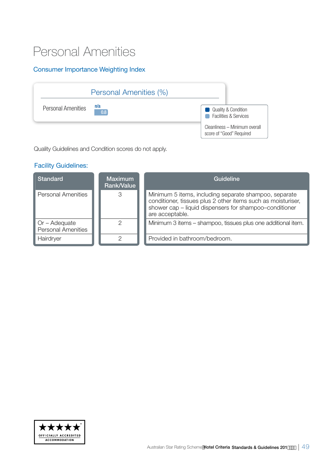### Personal Amenities

### Consumer Importance Weighting Index



Quality Guidelines and Condition scores do not apply.

| <b>Standard</b>                              | <b>Maximum</b><br>Rank/Value | Guideline                                                                                                                                                                                          |
|----------------------------------------------|------------------------------|----------------------------------------------------------------------------------------------------------------------------------------------------------------------------------------------------|
| <b>Personal Amenities</b>                    | 3                            | Minimum 5 items, including separate shampoo, separate<br>conditioner, tissues plus 2 other items such as moisturiser,<br>shower cap - liquid dispensers for shampoo-conditioner<br>are acceptable. |
| $Or - Adequate$<br><b>Personal Amenities</b> | 2                            | Minimum 3 items – shampoo, tissues plus one additional item.                                                                                                                                       |
| Hairdryer                                    |                              | Provided in bathroom/bedroom.                                                                                                                                                                      |

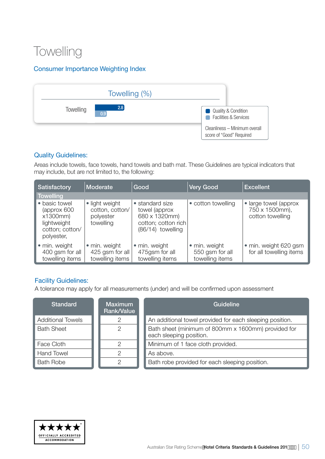### **Towelling**

### Consumer Importance Weighting Index



#### Quality Guidelines:

Areas include towels, face towels, hand towels and bath mat. These Guidelines are typical indicators that may include, but are not limited to, the following:

| <b>Satisfactory</b>                                                                      | Moderate                                                    | Good                                                                                            | <b>Very Good</b>                                    | <b>Excellent</b>                                            |
|------------------------------------------------------------------------------------------|-------------------------------------------------------------|-------------------------------------------------------------------------------------------------|-----------------------------------------------------|-------------------------------------------------------------|
| <b>Towelling</b>                                                                         |                                                             |                                                                                                 |                                                     |                                                             |
| • basic towel<br>(approx 600<br>x1300mm)<br>lightweight<br>cotton; cotton/<br>polyester, | • light weight<br>cotton, cotton/<br>polyester<br>towelling | • standard size<br>towel (approx<br>680 x 1320mm)<br>cotton; cotton rich<br>$(86/14)$ towelling | • cotton towelling                                  | • large towel (approx<br>750 x 1500mm),<br>cotton towelling |
| · min. weight<br>400 gsm for all<br>towelling items                                      | • min. weight<br>425 gsm for all<br>towelling items         | • min. weight<br>475gsm for all<br>towelling items                                              | · min. weight<br>550 gsm for all<br>towelling items | • min. weight 620 gsm<br>for all towelling items            |

#### Facility Guidelines:

A tolerance may apply for all measurements (under) and will be confirmed upon assessment

| <b>Standard</b>          | <b>Maximum</b><br>Rank/Value | Guideline                                                                      |
|--------------------------|------------------------------|--------------------------------------------------------------------------------|
| <b>Additional Towels</b> |                              | An additional towel provided for each sleeping position.                       |
| <b>Bath Sheet</b>        | 2                            | Bath sheet (minimum of 800mm x 1600mm) provided for<br>each sleeping position. |
| Face Cloth               |                              | Minimum of 1 face cloth provided.                                              |
| <b>Hand Towel</b>        |                              | As above.                                                                      |
| <b>Bath Robe</b>         | 2                            | Bath robe provided for each sleeping position.                                 |

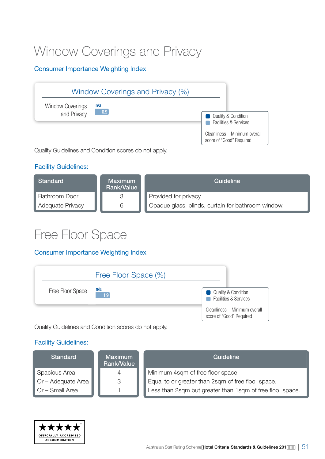### Window Coverings and Privacy

### Consumer Importance Weighting Index



### Facility Guidelines:

| Standard                | <b>Maximum</b><br>Rank/Value | Guideline                                          |
|-------------------------|------------------------------|----------------------------------------------------|
| <b>Bathroom Door</b>    |                              | Provided for privacy.                              |
| <b>Adequate Privacy</b> |                              | Opaque glass, blinds, curtain for bathroom window. |

### Free Floor Space

#### Consumer Importance Weighting Index



Quality Guidelines and Condition scores do not apply.

| <b>Standard</b>                   | <b>Maximum</b><br>Rank/Value | Guideline                                                |
|-----------------------------------|------------------------------|----------------------------------------------------------|
| Spacious Area                     |                              | Minimum 4sqm of free floor space                         |
| $\blacksquare$ Or – Adequate Area |                              | Equal to or greater than 2sqm of free floo space.        |
| $\Box$ Or – Small Area            |                              | Less than 2sqm but greater than 1sqm of free floo space. |

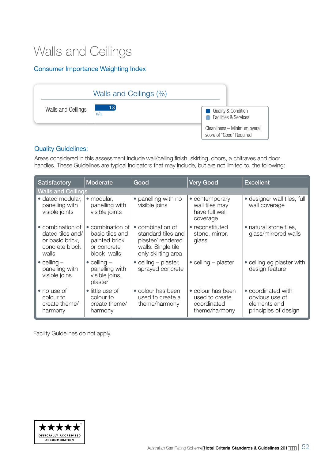### Walls and Ceilings

### Consumer Importance Weighting Index



#### Quality Guidelines:

Areas considered in this assessment include wall/ceiling finish, skirting, doors, a chitraves and door handles. These Guidelines are typical indicators that may include, but are not limited to, the following:

| Satisfactory                                                                       | Moderate                                                                           | Good                                                                                                   | <b>Very Good</b>                                                    | <b>Excellent</b>                                                             |
|------------------------------------------------------------------------------------|------------------------------------------------------------------------------------|--------------------------------------------------------------------------------------------------------|---------------------------------------------------------------------|------------------------------------------------------------------------------|
| <b>Walls and Ceilings</b>                                                          |                                                                                    |                                                                                                        |                                                                     |                                                                              |
| · dated modular,<br>panelling with<br>visible joints                               | · modular,<br>panelling with<br>visible joints                                     | • panelling with no<br>visible joins                                                                   | • contemporary<br>wall tiles may<br>have full wall<br>coverage      | • designer wall tiles, full<br>wall coverage                                 |
| • combination of<br>dated tiles and/<br>or basic brick,<br>concrete block<br>walls | • combination of<br>basic tiles and<br>painted brick<br>or concrete<br>block walls | • combination of<br>standard tiles and<br>plaster/rendered<br>walls. Single tile<br>only skirting area | • reconstituted<br>stone, mirror,<br>glass                          | • natural stone tiles,<br>glass/mirrored walls                               |
| $\bullet$ ceiling $-$<br>panelling with<br>visible joins                           | $\bullet$ ceiling $-$<br>panelling with<br>visible joins,<br>plaster               | • ceiling $-$ plaster,<br>sprayed concrete                                                             | $\bullet$ ceiling – plaster                                         | • ceiling eg plaster with<br>design feature                                  |
| • no use of<br>colour to<br>create theme/<br>harmony                               | • little use of<br>colour to<br>create theme/<br>harmony                           | • colour has been<br>used to create a<br>theme/harmony                                                 | • colour has been<br>used to create<br>coordinated<br>theme/harmony | • coordinated with<br>obvious use of<br>elements and<br>principles of design |

Facility Guidelines do not apply.

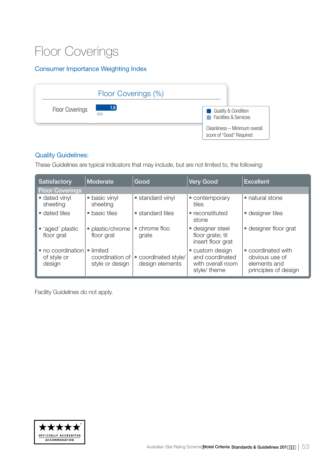### Floor Coverings

### Consumer Importance Weighting Index



### Quality Guidelines:

These Guidelines are typical indicators that may include, but are not limited to, the following:

| <b>Satisfactory</b>                        | Moderate                                        | Good                                    | <b>Very Good</b>                                                        | <b>Excellent</b>                                                             |
|--------------------------------------------|-------------------------------------------------|-----------------------------------------|-------------------------------------------------------------------------|------------------------------------------------------------------------------|
| <b>Floor Coverings</b>                     |                                                 |                                         |                                                                         |                                                                              |
| • dated vinyl<br>sheeting                  | • basic vinyl<br>sheeting                       | • standard vinyl                        | • contemporary<br>tiles                                                 | • natural stone                                                              |
| • dated tiles                              | • basic tiles                                   | • standard tiles                        | • reconstituted<br>stone                                                | • designer tiles                                                             |
| • 'aged' plastic<br>floor grat             | • plastic/chrome<br>floor grat                  | • chrome floo<br>grate                  | • designer steel<br>floor grate; til<br>insert floor grat               | • designer floor grat                                                        |
| • no coordination<br>of style or<br>design | • limited<br>coordination of<br>style or design | • coordinated style/<br>design elements | • custom design<br>and coordinated<br>with overall room<br>style/ theme | • coordinated with<br>obvious use of<br>elements and<br>principles of design |

Facility Guidelines do not apply.

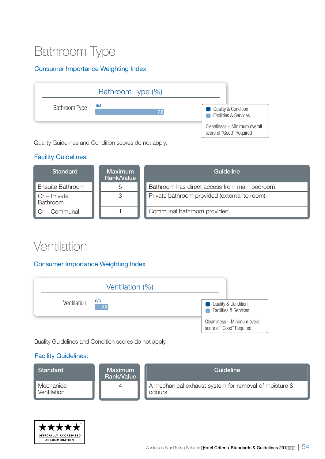### Bathroom Type

### Consumer Importance Weighting Index



Quality Guidelines and Condition scores do not apply.

### Facility Guidelines:

| <b>Standard</b>                         | <b>Maximum</b><br>Rank/Value | Guideline                                     |
|-----------------------------------------|------------------------------|-----------------------------------------------|
| <b>Ensuite Bathroom</b>                 | 5                            | Bathroom has direct access from main bedroom. |
| $\blacksquare$ Or – Private<br>Bathroom | 3                            | Private bathroom provided (external to room). |
| $\Box$ Or – Communal                    |                              | Communal bathroom provided.                   |

### Ventilation

### Consumer Importance Weighting Index



Quality Guidelines and Condition scores do not apply.



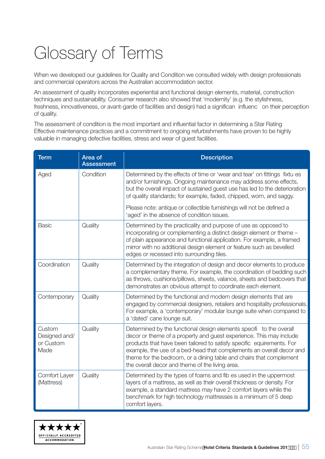## Glossary of Terms

When we developed our guidelines for Quality and Condition we consulted widely with design professionals and commercial operators across the Australian accommodation sector.

An assessment of quality incorporates experiential and functional design elements, material, construction techniques and sustainability. Consumer research also showed that 'modernity' (e.g. the stylishness, freshness, innovativeness, or avant-garde of facilities and design) had a significan influenc on their perception of quality.

The assessment of condition is the most important and influential factor in determining a Star Rating Effective maintenance practices and a commitment to ongoing refurbishments have proven to be highly valuable in managing defective facilities, stress and wear of guest facilities.

| <b>Term</b>                                  | Area of<br>Assessment | <b>Description</b>                                                                                                                                                                                                                                                                                                                                                                                                    |
|----------------------------------------------|-----------------------|-----------------------------------------------------------------------------------------------------------------------------------------------------------------------------------------------------------------------------------------------------------------------------------------------------------------------------------------------------------------------------------------------------------------------|
| Aged                                         | Condition             | Determined by the effects of time or 'wear and tear' on fittings fixtu es<br>and/or furnishings. Ongoing maintenance may address some effects,<br>but the overall impact of sustained guest use has led to the deterioration<br>of quality standards; for example, faded, chipped, worn, and saggy.                                                                                                                   |
|                                              |                       | Please note: antique or collectible furnishings will not be defined a<br>'aged' in the absence of condition issues.                                                                                                                                                                                                                                                                                                   |
| <b>Basic</b>                                 | Quality               | Determined by the practicality and purpose of use as opposed to<br>incorporating or complementing a distinct design element or theme -<br>of plain appearance and functional application. For example, a framed<br>mirror with no additional design element or feature such as bevelled<br>edges or recessed into surrounding tiles.                                                                                  |
| Coordination                                 | Quality               | Determined by the integration of design and decor elements to produce<br>a complementary theme. For example, the coordination of bedding such<br>as throws, cushions/pillows, sheets, valance, sheets and bedcovers that<br>demonstrates an obvious attempt to coordinate each element.                                                                                                                               |
| Contemporary                                 | Quality               | Determined by the functional and modern design elements that are<br>engaged by commercial designers, retailers and hospitality professionals.<br>For example, a 'contemporary' modular lounge suite when compared to<br>a 'dated' cane lounge suit.                                                                                                                                                                   |
| Custom<br>Designed and/<br>or Custom<br>Made | Quality               | Determined by the functional design elements specifi to the overall<br>decor or theme of a property and guest experience. This may include<br>products that have been tailored to satisfy specific equirements. For<br>example, the use of a bed-head that complements an overall decor and<br>theme for the bedroom, or a dining table and chairs that complement<br>the overall decor and theme of the living area. |
| Comfort Layer<br>(Mattress)                  | Quality               | Determined by the types of foams and fib es used in the uppermost<br>layers of a mattress, as well as their overall thickness or density. For<br>example, a standard mattress may have 2 comfort layers while the<br>benchmark for high technology mattresses is a minimum of 5 deep<br>comfort layers.                                                                                                               |